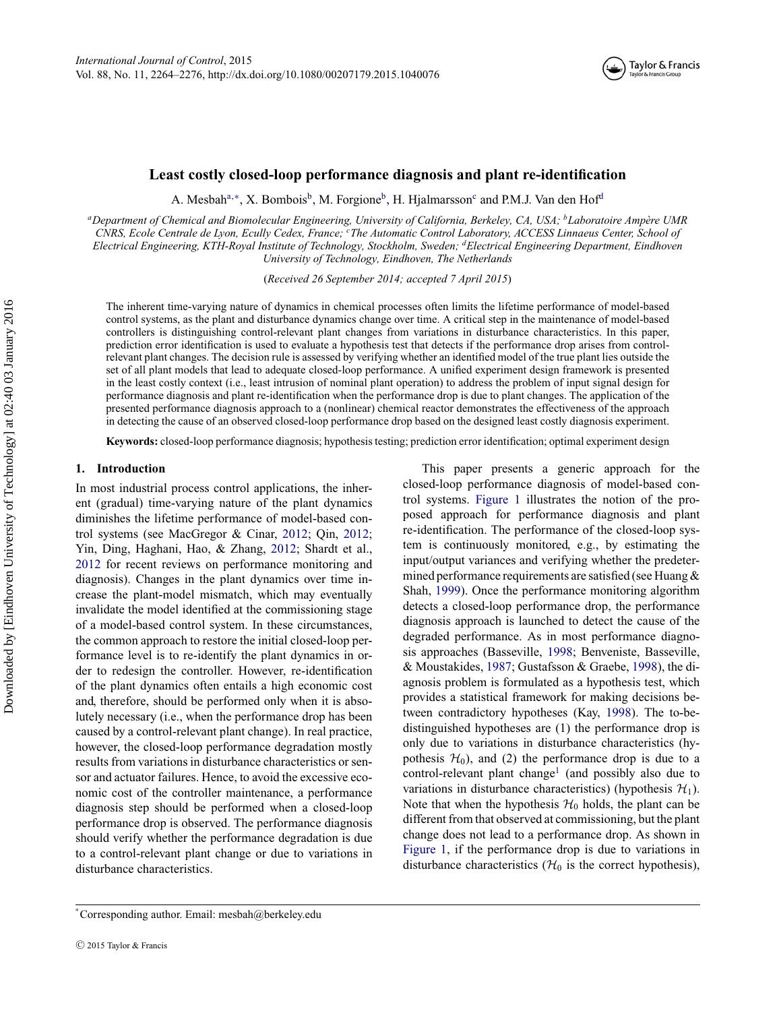<span id="page-0-2"></span>

# **Least costly closed-loop performance diagnosis and plant re-identification**

A. Mesbah<sup>a,[∗](#page-0-1)</sup>, X. Bombois<sup>b</sup>, M. Forgione<sup>b</sup>, H. Hjalmarsson<sup>c</sup> an[d](#page-0-4) P.M.J. Van den Hof<sup>d</sup>

<span id="page-0-0"></span>*aDepartment of Chemical and Biomolecular Engineering, University of California, Berkeley, CA, USA; bLaboratoire Ampere UMR ` CNRS, Ecole Centrale de Lyon, Ecully Cedex, France; <sup>c</sup> The Automatic Control Laboratory, ACCESS Linnaeus Center, School of Electrical Engineering, KTH-Royal Institute of Technology, Stockholm, Sweden; dElectrical Engineering Department, Eindhoven University of Technology, Eindhoven, The Netherlands*

<span id="page-0-4"></span><span id="page-0-3"></span>(*Received 26 September 2014; accepted 7 April 2015*)

The inherent time-varying nature of dynamics in chemical processes often limits the lifetime performance of model-based control systems, as the plant and disturbance dynamics change over time. A critical step in the maintenance of model-based controllers is distinguishing control-relevant plant changes from variations in disturbance characteristics. In this paper, prediction error identification is used to evaluate a hypothesis test that detects if the performance drop arises from controlrelevant plant changes. The decision rule is assessed by verifying whether an identified model of the true plant lies outside the set of all plant models that lead to adequate closed-loop performance. A unified experiment design framework is presented in the least costly context (i.e., least intrusion of nominal plant operation) to address the problem of input signal design for performance diagnosis and plant re-identification when the performance drop is due to plant changes. The application of the presented performance diagnosis approach to a (nonlinear) chemical reactor demonstrates the effectiveness of the approach in detecting the cause of an observed closed-loop performance drop based on the designed least costly diagnosis experiment.

**Keywords:** closed-loop performance diagnosis; hypothesis testing; prediction error identification; optimal experiment design

## **1. Introduction**

In most industrial process control applications, the inherent (gradual) time-varying nature of the plant dynamics diminishes the lifetime performance of model-based control systems (see MacGregor & Cinar, [2012;](#page-11-0) Qin, [2012;](#page-11-1) Yin, Ding, Haghani, Hao, & Zhang, [2012;](#page-11-2) Shardt et al., [2012](#page-11-3) for recent reviews on performance monitoring and diagnosis). Changes in the plant dynamics over time increase the plant-model mismatch, which may eventually invalidate the model identified at the commissioning stage of a model-based control system. In these circumstances, the common approach to restore the initial closed-loop performance level is to re-identify the plant dynamics in order to redesign the controller. However, re-identification of the plant dynamics often entails a high economic cost and, therefore, should be performed only when it is absolutely necessary (i.e., when the performance drop has been caused by a control-relevant plant change). In real practice, however, the closed-loop performance degradation mostly results from variations in disturbance characteristics or sensor and actuator failures. Hence, to avoid the excessive economic cost of the controller maintenance, a performance diagnosis step should be performed when a closed-loop performance drop is observed. The performance diagnosis should verify whether the performance degradation is due to a control-relevant plant change or due to variations in disturbance characteristics.

This paper presents a generic approach for the closed-loop performance diagnosis of model-based control systems. [Figure 1](#page-1-0) illustrates the notion of the proposed approach for performance diagnosis and plant re-identification. The performance of the closed-loop system is continuously monitored, e.g., by estimating the input/output variances and verifying whether the predetermined performance requirements are satisfied (see Huang & Shah, [1999\)](#page-11-4). Once the performance monitoring algorithm detects a closed-loop performance drop, the performance diagnosis approach is launched to detect the cause of the degraded performance. As in most performance diagnosis approaches (Basseville, [1998;](#page-10-0) Benveniste, Basseville, & Moustakides, [1987;](#page-10-1) Gustafsson & Graebe, [1998\)](#page-11-5), the diagnosis problem is formulated as a hypothesis test, which provides a statistical framework for making decisions between contradictory hypotheses (Kay, [1998\)](#page-11-6). The to-bedistinguished hypotheses are (1) the performance drop is only due to variations in disturbance characteristics (hypothesis  $H_0$ ), and (2) the performance drop is due to a control-relevant plant change<sup>1</sup> (and possibly also due to variations in disturbance characteristics) (hypothesis  $\mathcal{H}_1$ ). Note that when the hypothesis  $\mathcal{H}_0$  holds, the plant can be different from that observed at commissioning, but the plant change does not lead to a performance drop. As shown in [Figure 1,](#page-1-0) if the performance drop is due to variations in disturbance characteristics ( $\mathcal{H}_0$  is the correct hypothesis),

<span id="page-0-1"></span><sup>∗</sup> Corresponding author. Email: [mesbah@berkeley.edu](mailto:mesbah@berkeley.edu)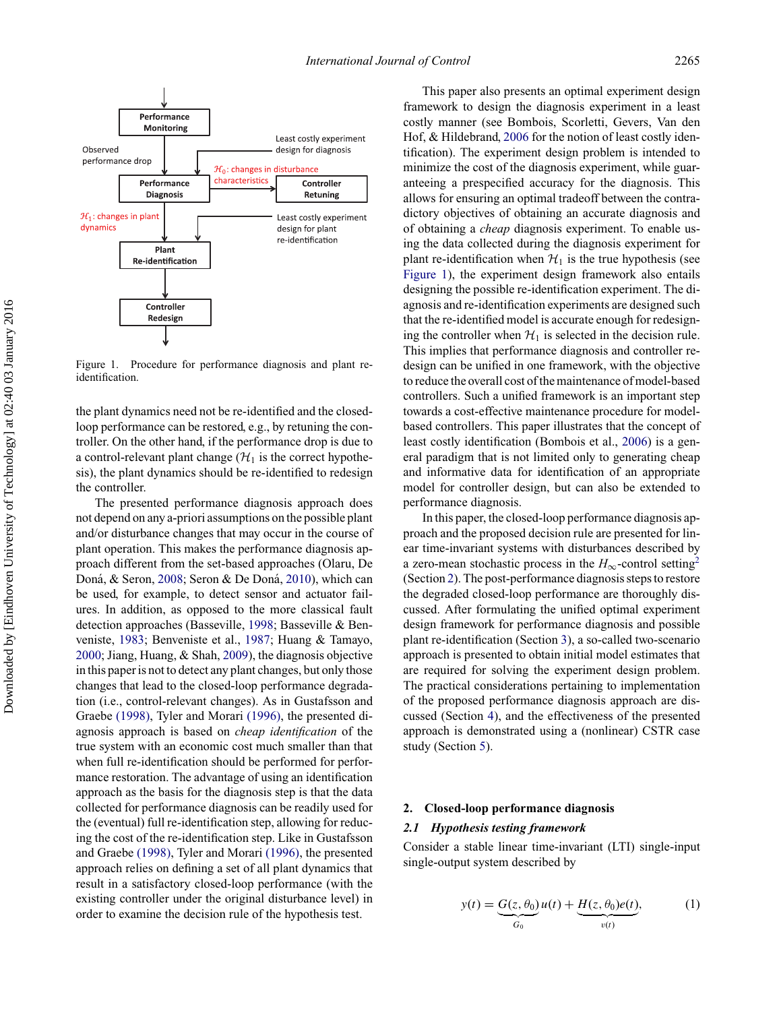

Downloaded by [Eindhoven University of Technology] at 02:40 03 January 2016

Downloaded by [Eindhoven University of Technology] at 02:40 03 January 2016

<span id="page-1-0"></span>

Performance

Figure 1. Procedure for performance diagnosis and plant re-

the plant dynamics need not be re-identified and the closedloop performance can be restored, e.g., by retuning the controller. On the other hand, if the performance drop is due to a control-relevant plant change  $(\mathcal{H}_1$  is the correct hypothesis), the plant dynamics should be re-identified to redesign the controller.

The presented performance diagnosis approach does not depend on any a-priori assumptions on the possible plant and/or disturbance changes that may occur in the course of plant operation. This makes the performance diagnosis approach different from the set-based approaches (Olaru, De Doná, & Seron, [2008;](#page-11-7) Seron & De Doná, [2010\)](#page-11-8), which can be used, for example, to detect sensor and actuator failures. In addition, as opposed to the more classical fault detection approaches (Basseville, [1998;](#page-10-0) Basseville & Benveniste, [1983;](#page-10-3) Benveniste et al., [1987;](#page-10-1) Huang & Tamayo, [2000;](#page-11-9) Jiang, Huang, & Shah, [2009\)](#page-11-10), the diagnosis objective in this paper is not to detect any plant changes, but only those changes that lead to the closed-loop performance degradation (i.e., control-relevant changes). As in Gustafsson and Graebe [\(1998\),](#page-11-5) Tyler and Morari [\(1996\),](#page-11-11) the presented diagnosis approach is based on *cheap identification* of the true system with an economic cost much smaller than that when full re-identification should be performed for performance restoration. The advantage of using an identification approach as the basis for the diagnosis step is that the data collected for performance diagnosis can be readily used for the (eventual) full re-identification step, allowing for reducing the cost of the re-identification step. Like in Gustafsson and Graebe [\(1998\),](#page-11-5) Tyler and Morari [\(1996\),](#page-11-11) the presented approach relies on defining a set of all plant dynamics that result in a satisfactory closed-loop performance (with the existing controller under the original disturbance level) in order to examine the decision rule of the hypothesis test.

framework to design the diagnosis experiment in a least costly manner (see Bombois, Scorletti, Gevers, Van den Hof, & Hildebrand, [2006](#page-11-12) for the notion of least costly identification). The experiment design problem is intended to minimize the cost of the diagnosis experiment, while guaranteeing a prespecified accuracy for the diagnosis. This allows for ensuring an optimal tradeoff between the contradictory objectives of obtaining an accurate diagnosis and of obtaining a *cheap* diagnosis experiment. To enable using the data collected during the diagnosis experiment for plant re-identification when  $\mathcal{H}_1$  is the true hypothesis (see [Figure 1\)](#page-1-0), the experiment design framework also entails designing the possible re-identification experiment. The diagnosis and re-identification experiments are designed such that the re-identified model is accurate enough for redesigning the controller when  $\mathcal{H}_1$  is selected in the decision rule. This implies that performance diagnosis and controller redesign can be unified in one framework, with the objective to reduce the overall cost of the maintenance of model-based controllers. Such a unified framework is an important step towards a cost-effective maintenance procedure for modelbased controllers. This paper illustrates that the concept of least costly identification (Bombois et al., [2006\)](#page-11-12) is a general paradigm that is not limited only to generating cheap and informative data for identification of an appropriate model for controller design, but can also be extended to performance diagnosis.

In this paper, the closed-loop performance diagnosis approach and the proposed decision rule are presented for linear time-invariant systems with disturbances described by a zero-mean stochastic process in the  $H_{\infty}$ -control setting<sup>2</sup> (Section [2\)](#page-1-1). The post-performance diagnosis steps to restore the degraded closed-loop performance are thoroughly discussed. After formulating the unified optimal experiment design framework for performance diagnosis and possible plant re-identification (Section [3\)](#page-4-0), a so-called two-scenario approach is presented to obtain initial model estimates that are required for solving the experiment design problem. The practical considerations pertaining to implementation of the proposed performance diagnosis approach are discussed (Section [4\)](#page-7-0), and the effectiveness of the presented approach is demonstrated using a (nonlinear) CSTR case study (Section [5\)](#page-7-1).

#### **2. Closed-loop performance diagnosis**

#### <span id="page-1-1"></span>*2.1 Hypothesis testing framework*

Consider a stable linear time-invariant (LTI) single-input single-output system described by

$$
y(t) = G(z, \theta_0) u(t) + H(z, \theta_0) e(t),
$$
 (1)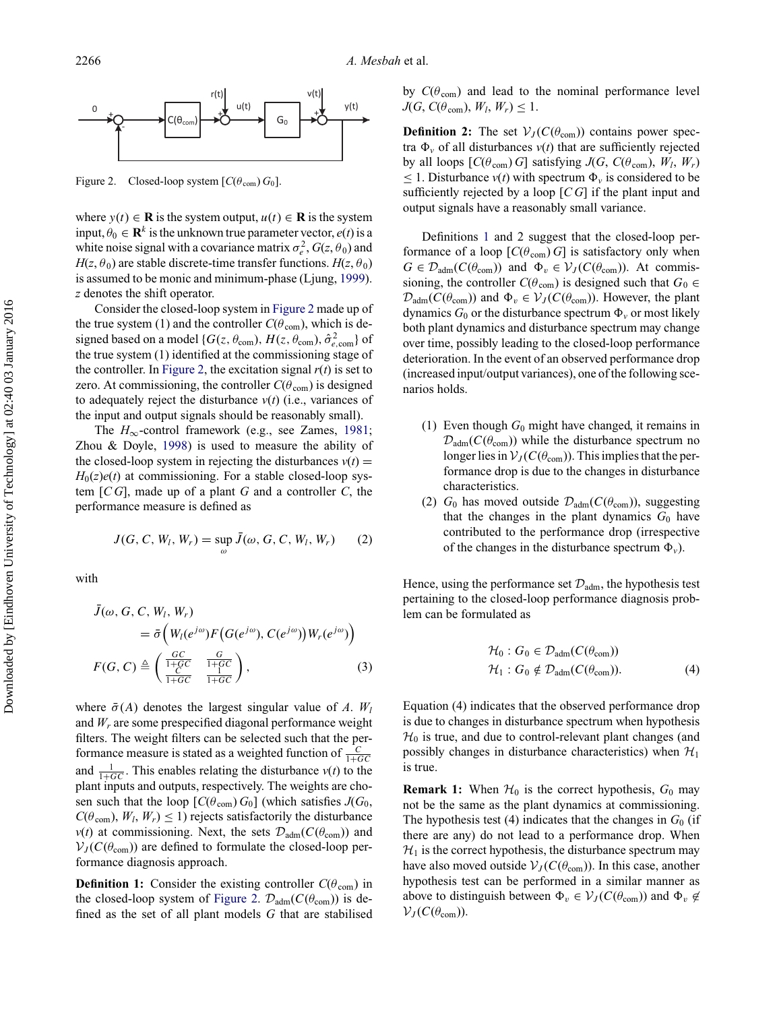<span id="page-2-0"></span>

Figure 2. Closed-loop system  $[C(\theta_{com}) G_0]$ .

where  $y(t) \in \mathbf{R}$  is the system output,  $u(t) \in \mathbf{R}$  is the system input,  $\theta_0 \in \mathbf{R}^k$  is the unknown true parameter vector,  $e(t)$  is a white noise signal with a covariance matrix  $\sigma_e^2$ ,  $G(z, \theta_0)$  and  $H(z, \theta_0)$  are stable discrete-time transfer functions.  $H(z, \theta_0)$ is assumed to be monic and minimum-phase (Ljung, [1999\)](#page-11-13). *z* denotes the shift operator.

Consider the closed-loop system in [Figure 2](#page-2-0) made up of the true system (1) and the controller  $C(\theta_{\text{com}})$ , which is designed based on a model { $G(z, \theta_{com})$ *, H*( $z, \theta_{com}$ )*,*  $\hat{\sigma}_{e,com}^2$ } of the true system (1) identified at the commissioning stage of the controller. In [Figure 2,](#page-2-0) the excitation signal  $r(t)$  is set to zero. At commissioning, the controller  $C(\theta_{com})$  is designed to adequately reject the disturbance  $v(t)$  (i.e., variances of the input and output signals should be reasonably small).

The *H*∞-control framework (e.g., see Zames, [1981;](#page-11-14) Zhou & Doyle, [1998\)](#page-11-15) is used to measure the ability of the closed-loop system in rejecting the disturbances  $v(t) =$  $H_0(z)e(t)$  at commissioning. For a stable closed-loop system [*C G*], made up of a plant *G* and a controller *C*, the performance measure is defined as

$$
J(G, C, W_l, W_r) = \sup_{\omega} \bar{J}(\omega, G, C, W_l, W_r) \qquad (2)
$$

with

$$
\bar{J}(\omega, G, C, W_l, W_r) = \bar{\sigma} \Big( W_l(e^{j\omega}) F\big( G(e^{j\omega}), C(e^{j\omega}) \big) W_r(e^{j\omega}) \Big)
$$
\n
$$
F(G, C) \triangleq \left( \frac{\frac{GC}{1+GC}}{\frac{1+GC}{1+GC}} \frac{\frac{G}{1+GC}}{\frac{1+GC}{1+GC}} \right),
$$
\n(3)

where  $\bar{\sigma}(A)$  denotes the largest singular value of *A*. *W*<sub>l</sub> and  $W_r$  are some prespecified diagonal performance weight filters. The weight filters can be selected such that the performance measure is stated as a weighted function of  $\frac{C}{1+GC}$ and  $\frac{1}{1+GC}$ . This enables relating the disturbance  $v(t)$  to the plant inputs and outputs, respectively. The weights are chosen such that the loop  $[C(\theta_{com}) G_0]$  (which satisfies  $J(G_0,$  $C(\theta_{\text{com}}), W_l, W_r) \leq 1$ ) rejects satisfactorily the disturbance *v*(*t*) at commissioning. Next, the sets  $\mathcal{D}_{\text{adm}}(C(\theta_{\text{com}}))$  and  $V_J(C(\theta_{com}))$  are defined to formulate the closed-loop performance diagnosis approach.

<span id="page-2-1"></span>**Definition 1:** Consider the existing controller  $C(\theta_{com})$  in the closed-loop system of [Figure 2.](#page-2-0)  $\mathcal{D}_{\text{adm}}(C(\theta_{\text{com}}))$  is defined as the set of all plant models *G* that are stabilised by  $C(\theta_{com})$  and lead to the nominal performance level  $J(G, C(\theta_{com}), W_l, W_r) \leq 1.$ 

**Definition 2:** The set  $V_J(C(\theta_{com}))$  contains power spectra  $\Phi$ <sub>v</sub> of all disturbances  $v(t)$  that are sufficiently rejected by all loops  $[C(\theta_{com}) G]$  satisfying  $J(G, C(\theta_{com}), W_l, W_r)$  $\leq 1$ . Disturbance  $v(t)$  with spectrum  $\Phi_v$  is considered to be sufficiently rejected by a loop [*C G*] if the plant input and output signals have a reasonably small variance.

Definitions [1](#page-2-1) and 2 suggest that the closed-loop performance of a loop  $[C(\theta_{com}) G]$  is satisfactory only when  $G \in \mathcal{D}_{\text{adm}}(C(\theta_{\text{com}}))$  and  $\Phi_v \in \mathcal{V}_J(C(\theta_{\text{com}}))$ . At commissioning, the controller  $C(\theta_{com})$  is designed such that  $G_0 \in$  $\mathcal{D}_{\text{adm}}(C(\theta_{\text{com}}))$  and  $\Phi_v \in \mathcal{V}_J(C(\theta_{\text{com}}))$ . However, the plant dynamics  $G_0$  or the disturbance spectrum  $\Phi$ <sub>v</sub> or most likely both plant dynamics and disturbance spectrum may change over time, possibly leading to the closed-loop performance deterioration. In the event of an observed performance drop (increased input/output variances), one of the following scenarios holds.

- (1) Even though  $G_0$  might have changed, it remains in  $\mathcal{D}_{\text{adm}}(C(\theta_{\text{com}}))$  while the disturbance spectrum no longer lies in  $V_J(C(\theta_{com}))$ . This implies that the performance drop is due to the changes in disturbance characteristics.
- (2)  $G_0$  has moved outside  $\mathcal{D}_{\text{adm}}(C(\theta_{\text{com}}))$ , suggesting that the changes in the plant dynamics  $G_0$  have contributed to the performance drop (irrespective of the changes in the disturbance spectrum  $\Phi_{\nu}$ ).

Hence, using the performance set  $\mathcal{D}_{\text{adm}}$ , the hypothesis test pertaining to the closed-loop performance diagnosis problem can be formulated as

$$
\mathcal{H}_0: G_0 \in \mathcal{D}_{adm}(C(\theta_{com}))
$$
  

$$
\mathcal{H}_1: G_0 \notin \mathcal{D}_{adm}(C(\theta_{com})).
$$
 (4)

Equation (4) indicates that the observed performance drop is due to changes in disturbance spectrum when hypothesis  $H_0$  is true, and due to control-relevant plant changes (and possibly changes in disturbance characteristics) when  $\mathcal{H}_1$ is true.

**Remark 1:** When  $\mathcal{H}_0$  is the correct hypothesis,  $G_0$  may not be the same as the plant dynamics at commissioning. The hypothesis test (4) indicates that the changes in  $G_0$  (if there are any) do not lead to a performance drop. When  $\mathcal{H}_1$  is the correct hypothesis, the disturbance spectrum may have also moved outside  $V_J(C(\theta_{\text{com}}))$ . In this case, another hypothesis test can be performed in a similar manner as above to distinguish between  $\Phi_v \in \mathcal{V}_J(C(\theta_{com}))$  and  $\Phi_v \notin$  $V_J(C(\theta_{\text{com}}))$ .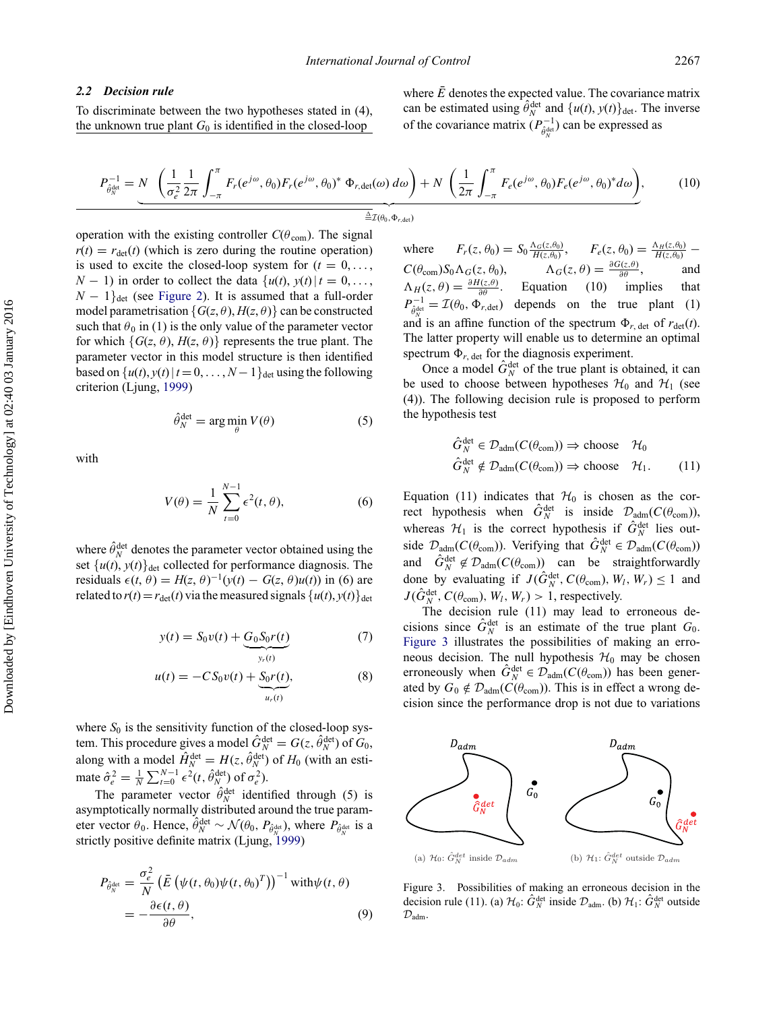#### *2.2 Decision rule*

To discriminate between the two hypotheses stated in (4), the unknown true plant  $G_0$  is identified in the closed-loop

where  $\bar{E}$  denotes the expected value. The covariance matrix can be estimated using  $\hat{\theta}_N^{\text{det}}$  and  $\{u(t), y(t)\}_{\text{det}}$ . The inverse of the covariance matrix  $(P_{\hat{\theta}_{N}^{\text{det}}})$  can be expressed as

$$
P_{\hat{\theta}_{N}^{\text{det}}}^{-1} = N \underbrace{\left(\frac{1}{\sigma_{e}^{2}} \frac{1}{2\pi} \int_{-\pi}^{\pi} F_{r}(e^{j\omega}, \theta_{0}) F_{r}(e^{j\omega}, \theta_{0})^{*} \Phi_{r, \text{det}}(\omega) d\omega\right)}_{\Delta \tau(\omega,\Phi_{N})} + N \underbrace{\left(\frac{1}{2\pi} \int_{-\pi}^{\pi} F_{e}(e^{j\omega}, \theta_{0}) F_{e}(e^{j\omega}, \theta_{0})^{*} d\omega\right)}_{\Delta \tau(\omega,\Phi_{N})},
$$
(10)

operation with the existing controller  $C(\theta_{\text{com}})$ . The signal  $r(t) = r_{\text{det}}(t)$  (which is zero during the routine operation) is used to excite the closed-loop system for  $(t = 0, \ldots,$ *N* − 1) in order to collect the data  $\{u(t), v(t) | t = 0, \ldots,$  $N-1$ <sub>det</sub> (see [Figure 2\)](#page-2-0). It is assumed that a full-order model parametrisation  $\{G(z, \theta), H(z, \theta)\}\)$  can be constructed such that  $\theta_0$  in (1) is the only value of the parameter vector for which  $\{G(z, \theta), H(z, \theta)\}\)$  represents the true plant. The parameter vector in this model structure is then identified based on  $\{u(t), y(t) | t = 0, \ldots, N-1\}$ <sub>det</sub> using the following criterion (Ljung, [1999\)](#page-11-13)

$$
\hat{\theta}_N^{\text{det}} = \arg\min_{\theta} V(\theta) \tag{5}
$$

with

$$
V(\theta) = \frac{1}{N} \sum_{t=0}^{N-1} \epsilon^2(t, \theta),
$$
 (6)

where  $\hat{\theta}_N^{\text{det}}$  denotes the parameter vector obtained using the set  $\{u(t), y(t)\}\$ <sub>det</sub> collected for performance diagnosis. The residuals  $\epsilon(t, \theta) = H(z, \theta)^{-1}(y(t) - G(z, \theta)u(t))$  in (6) are related to  $r(t) = r_{\text{det}}(t)$  via the measured signals  $\{u(t), y(t)\}_{\text{det}}$ 

$$
y(t) = S_0 v(t) + \underbrace{G_0 S_0 r(t)}_{y_r(t)}
$$
(7)

$$
u(t) = -CS_0v(t) + \underbrace{S_0r(t)}_{u_r(t)},
$$
\n(8)

where  $S_0$  is the sensitivity function of the closed-loop system. This procedure gives a model  $\hat{G}_N^{\text{det}} = G(z, \hat{\theta}_N^{\text{det}})$  of  $G_0$ , along with a model  $\hat{H}_N^{\text{det}} = H(z, \hat{\theta}_N^{\text{det}})$  of  $H_0$  (with an estimate  $\hat{\sigma}_e^2 = \frac{1}{N} \sum_{t=0}^{N-1} \epsilon^2(t, \hat{\theta}_N^{\text{det}})$  of  $\sigma_e^2$ ).

The parameter vector  $\hat{\theta}_N^{\text{det}}$  identified through (5) is asymptotically normally distributed around the true parameter vector  $\theta_0$ . Hence,  $\hat{\theta}_N^{\text{det}} \sim \mathcal{N}(\theta_0, P_{\hat{\theta}_N^{\text{det}}})$ , where  $P_{\hat{\theta}_N^{\text{det}}}$  is a strictly positive definite matrix (Ljung, [1999\)](#page-11-13)

$$
P_{\hat{\theta}_{N}^{\text{det}}} = \frac{\sigma_{e}^{2}}{N} \left( \bar{E} \left( \psi(t, \theta_{0}) \psi(t, \theta_{0})^{T} \right) \right)^{-1} \text{with} \psi(t, \theta)
$$

$$
= -\frac{\partial \epsilon(t, \theta)}{\partial \theta}, \tag{9}
$$

 $\triangleq$ *I*( $\theta$ <sub>0</sub>, $\Phi$ <sub>r,det</sub>)

where  $F_r(z, \theta_0) = S_0 \frac{\Lambda_G(z, \theta_0)}{H(z, \theta_0)}, \qquad F_e(z, \theta_0) = \frac{\Lambda_H(z, \theta_0)}{H(z, \theta_0)}$  $C(\theta_{com})S_0\Lambda_G(z,\theta_0), \qquad \Lambda_G(z,\theta) = \frac{\partial G(z,\theta)}{\partial \theta},$  and  $\Lambda_H(z,\theta) = \frac{\partial H(z,\theta)}{\partial \theta}$ . Equation (10) implies that  $P_{\hat{\theta}_{N}^{\text{det}}}^{-1} = \mathcal{I}(\theta_{0}, \Phi_{r, \text{det}})$  depends on the true plant (1) and is an affine function of the spectrum  $\Phi_{r, \text{det}}$  of  $r_{\text{det}}(t)$ . The latter property will enable us to determine an optimal spectrum  $\Phi_{r, det}$  for the diagnosis experiment.

Once a model  $\hat{G}_N^{\text{det}}$  of the true plant is obtained, it can be used to choose between hypotheses  $\mathcal{H}_0$  and  $\mathcal{H}_1$  (see (4)). The following decision rule is proposed to perform the hypothesis test

$$
\hat{G}_N^{\text{det}} \in \mathcal{D}_{\text{adm}}(C(\theta_{\text{com}})) \Rightarrow \text{choose } \mathcal{H}_0
$$
  

$$
\hat{G}_N^{\text{det}} \notin \mathcal{D}_{\text{adm}}(C(\theta_{\text{com}})) \Rightarrow \text{choose } \mathcal{H}_1.
$$
 (11)

Equation (11) indicates that  $H_0$  is chosen as the correct hypothesis when  $\hat{G}_N^{\text{det}}$  is inside  $\mathcal{D}_{\text{adm}}(C(\theta_{\text{com}})),$ whereas  $\mathcal{H}_1$  is the correct hypothesis if  $\hat{G}_N^{\text{det}}$  lies outside  $\mathcal{D}_{\text{adm}}(C(\theta_{\text{com}}))$ . Verifying that  $\hat{G}_N^{\text{det}} \in \mathcal{D}_{\text{adm}}(C(\theta_{\text{com}}))$ and  $\hat{G}_N^{\text{det}} \notin \mathcal{D}_{\text{adm}}(C(\theta_{\text{com}}))$  can be straightforwardly done by evaluating if  $J(\hat{G}_N^{\text{det}}, C(\theta_{\text{com}}), W_l, W_r) \le 1$  and  $J(\hat{G}_N^{\text{det}}, C(\theta_{\text{com}}), W_l, W_r) > 1$ , respectively.

The decision rule (11) may lead to erroneous decisions since  $\hat{G}_N^{\text{det}}$  is an estimate of the true plant  $G_0$ . [Figure 3](#page-3-0) illustrates the possibilities of making an erroneous decision. The null hypothesis  $H_0$  may be chosen erroneously when  $\hat{G}_N^{\text{det}} \in \mathcal{D}_{\text{adm}}(C(\theta_{\text{com}}))$  has been generated by  $G_0 \notin \mathcal{D}_{\text{adm}}(C(\theta_{\text{com}}))$ . This is in effect a wrong decision since the performance drop is not due to variations

<span id="page-3-0"></span>

Figure 3. Possibilities of making an erroneous decision in the decision rule (11). (a)  $\mathcal{H}_0$ :  $\hat{G}_N^{\text{det}}$  inside  $\mathcal{D}_{\text{adm}}$ . (b)  $\mathcal{H}_1$ :  $\hat{G}_N^{\text{det}}$  outside  $\mathcal{D}_{\text{adm}}$ .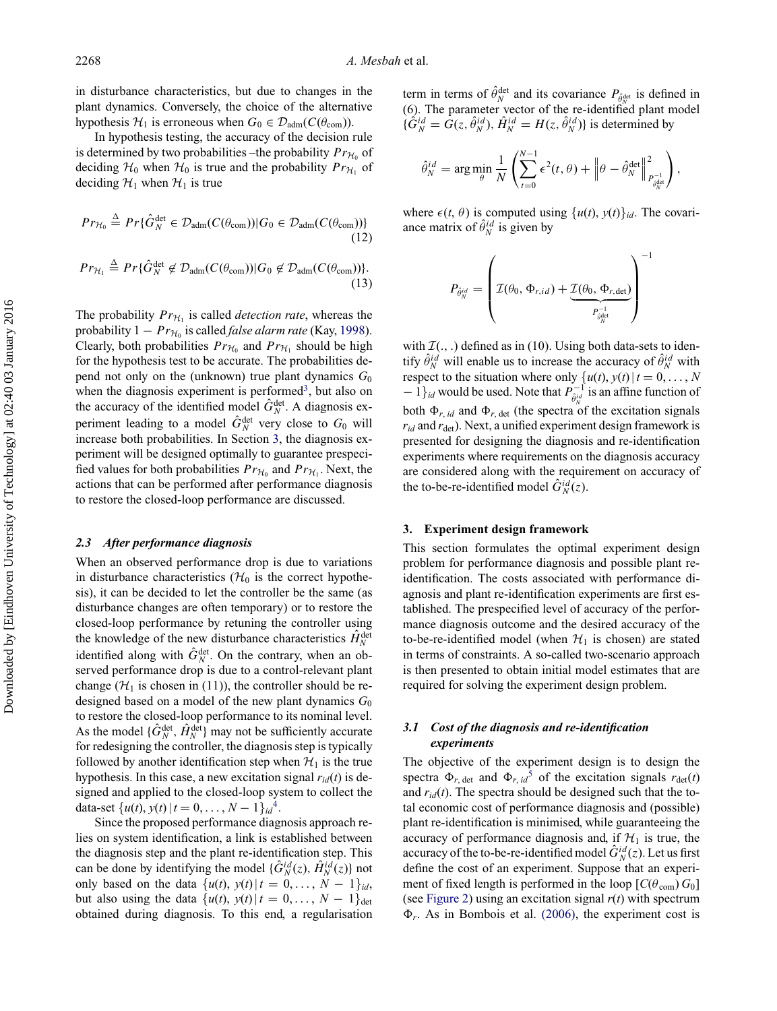in disturbance characteristics, but due to changes in the plant dynamics. Conversely, the choice of the alternative hypothesis  $\mathcal{H}_1$  is erroneous when  $G_0 \in \mathcal{D}_{\text{adm}}(C(\theta_{\text{com}}))$ .

In hypothesis testing, the accuracy of the decision rule is determined by two probabilities –the probability  $Pr_{H_0}$  of deciding  $H_0$  when  $H_0$  is true and the probability  $Pr_{H_1}$  of deciding  $\mathcal{H}_1$  when  $\mathcal{H}_1$  is true

$$
Pr_{\mathcal{H}_0} \stackrel{\Delta}{=} Pr\{\hat{G}_N^{\text{det}} \in \mathcal{D}_{\text{adm}}(C(\theta_{\text{com}})) | G_0 \in \mathcal{D}_{\text{adm}}(C(\theta_{\text{com}}))\}\
$$
(12)

$$
Pr_{\mathcal{H}_1} \stackrel{\Delta}{=} Pr\{\hat{G}_N^{\text{det}} \notin \mathcal{D}_{\text{adm}}(C(\theta_{\text{com}})) | G_0 \notin \mathcal{D}_{\text{adm}}(C(\theta_{\text{com}}))\}.
$$
\n(13)

The probability  $Pr_{\mathcal{H}_1}$  is called *detection rate*, whereas the probability  $1 - Pr_{\mathcal{H}_0}$  is called *false alarm rate* (Kay, [1998\)](#page-11-6). Clearly, both probabilities  $Pr_{H_0}$  and  $Pr_{H_1}$  should be high for the hypothesis test to be accurate. The probabilities depend not only on the (unknown) true plant dynamics  $G_0$ when the diagnosis experiment is performed<sup>3</sup>, but also on the accuracy of the identified model  $\hat{G}_N^{\text{det}}$ . A diagnosis experiment leading to a model  $\hat{G}_N^{\text{det}}$  very close to  $G_0$  will increase both probabilities. In Section [3,](#page-4-0) the diagnosis experiment will be designed optimally to guarantee prespecified values for both probabilities  $Pr_{\mathcal{H}_0}$  and  $Pr_{\mathcal{H}_1}$ . Next, the actions that can be performed after performance diagnosis to restore the closed-loop performance are discussed.

### *2.3 After performance diagnosis*

When an observed performance drop is due to variations in disturbance characteristics ( $\mathcal{H}_0$  is the correct hypothesis), it can be decided to let the controller be the same (as disturbance changes are often temporary) or to restore the closed-loop performance by retuning the controller using the knowledge of the new disturbance characteristics  $\hat{H}_N^{\text{det}}$ identified along with  $\hat{G}_N^{\text{det}}$ . On the contrary, when an observed performance drop is due to a control-relevant plant change ( $\mathcal{H}_1$  is chosen in (11)), the controller should be redesigned based on a model of the new plant dynamics  $G_0$ to restore the closed-loop performance to its nominal level. As the model  $\{\hat{G}_N^{\text{det}}, \hat{H}_N^{\text{det}}\}$  may not be sufficiently accurate for redesigning the controller, the diagnosis step is typically followed by another identification step when  $\mathcal{H}_1$  is the true hypothesis. In this case, a new excitation signal  $r_{id}(t)$  is designed and applied to the closed-loop system to collect the data-set  $\{u(t), y(t) | t = 0, ..., N - 1\}$ *id*<sup>4</sup>.

Since the proposed performance diagnosis approach relies on system identification, a link is established between the diagnosis step and the plant re-identification step. This can be done by identifying the model  $\{\hat{G}_N^{id}(z), \hat{H}_N^{id}(z)\}\)$  not only based on the data  $\{u(t), y(t) | t = 0, ..., N - 1\}_{id}$ , but also using the data  $\{u(t), v(t) | t = 0, \ldots, N-1\}$ obtained during diagnosis. To this end, a regularisation term in terms of  $\hat{\theta}_N^{\text{det}}$  and its covariance  $P_{\hat{\theta}_N^{\text{det}}}$  is defined in (6). The parameter vector of the re-identified plant model  $\{\hat{G}_N^{id} = G(z, \hat{\theta}_N^{id}), \hat{H}_N^{id} = H(z, \hat{\theta}_N^{id})\}$  is determined by

$$
\hat{\theta}_N^{id} = \arg\min_{\theta} \frac{1}{N} \left( \sum_{t=0}^{N-1} \epsilon^2(t, \theta) + \left\| \theta - \hat{\theta}_N^{\text{det}} \right\|_{P_{\hat{\theta}_N^{\text{det}}}}^2 \right),
$$

where  $\epsilon(t, \theta)$  is computed using  $\{u(t), y(t)\}_{id}$ . The covariance matrix of  $\hat{\theta}_N^{id}$  is given by

$$
P_{\hat{\theta}_{N}^{id}} = \left(\mathcal{I}(\theta_{0}, \Phi_{r, id}) + \underbrace{\mathcal{I}(\theta_{0}, \Phi_{r, det})}_{P_{\hat{\theta}_{N}^{det}}^{-1}}\right)^{-1}
$$

with  $\mathcal{I}(.,.)$  defined as in (10). Using both data-sets to identify  $\hat{\theta}_N^{id}$  will enable us to increase the accuracy of  $\hat{\theta}_N^{id}$  with respect to the situation where only  $\{u(t), y(t) | t = 0, \ldots, N\}$  $-1$ *}*<sub>*id*</sub> would be used. Note that  $P_{\hat{\theta}_{M}^{j}}^{-1}$  is an affine function of both  $\Phi_{r, id}$  and  $\Phi_{r, det}$  (the spectra of the excitation signals  $r_{id}$  and  $r_{det}$ ). Next, a unified experiment design framework is presented for designing the diagnosis and re-identification experiments where requirements on the diagnosis accuracy are considered along with the requirement on accuracy of the to-be-re-identified model  $\hat{G}^{id}_N(z)$ .

### **3. Experiment design framework**

<span id="page-4-0"></span>This section formulates the optimal experiment design problem for performance diagnosis and possible plant reidentification. The costs associated with performance diagnosis and plant re-identification experiments are first established. The prespecified level of accuracy of the performance diagnosis outcome and the desired accuracy of the to-be-re-identified model (when  $\mathcal{H}_1$  is chosen) are stated in terms of constraints. A so-called two-scenario approach is then presented to obtain initial model estimates that are required for solving the experiment design problem.

# *3.1 Cost of the diagnosis and re-identification experiments*

The objective of the experiment design is to design the spectra  $\Phi_{r, \text{det}}$  and  $\Phi_{r, id}$ <sup>[5](#page-10-7)</sup> of the excitation signals  $r_{\text{det}}(t)$ and  $r_{id}(t)$ . The spectra should be designed such that the total economic cost of performance diagnosis and (possible) plant re-identification is minimised, while guaranteeing the accuracy of performance diagnosis and, if  $\mathcal{H}_1$  is true, the accuracy of the to-be-re-identified model  $\hat{G}_{N}^{id}(z)$ . Let us first define the cost of an experiment. Suppose that an experiment of fixed length is performed in the loop  $[C(\theta_{com}) G_0]$ (see [Figure 2\)](#page-2-0) using an excitation signal *r*(*t*) with spectrum  $\Phi_r$ . As in Bombois et al. [\(2006\),](#page-11-12) the experiment cost is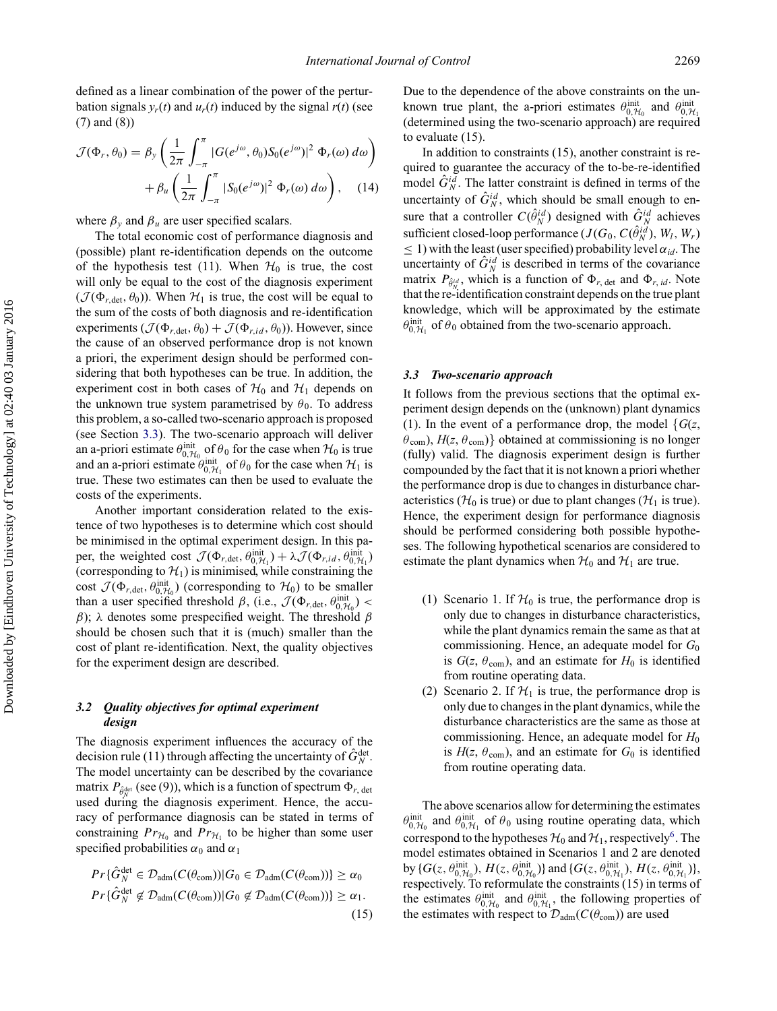defined as a linear combination of the power of the perturbation signals  $y_r(t)$  and  $u_r(t)$  induced by the signal  $r(t)$  (see (7) and (8))

$$
\mathcal{J}(\Phi_r, \theta_0) = \beta_y \left( \frac{1}{2\pi} \int_{-\pi}^{\pi} |G(e^{j\omega}, \theta_0) S_0(e^{j\omega})|^2 \Phi_r(\omega) d\omega \right) + \beta_u \left( \frac{1}{2\pi} \int_{-\pi}^{\pi} |S_0(e^{j\omega})|^2 \Phi_r(\omega) d\omega \right), \quad (14)
$$

where  $\beta$ <sub>*y*</sub> and  $\beta$ <sub>*u*</sub> are user specified scalars.

The total economic cost of performance diagnosis and (possible) plant re-identification depends on the outcome of the hypothesis test (11). When  $H_0$  is true, the cost will only be equal to the cost of the diagnosis experiment  $(\mathcal{J}(\Phi_{r,\text{det}}, \theta_0))$ . When  $\mathcal{H}_1$  is true, the cost will be equal to the sum of the costs of both diagnosis and re-identification experiments  $(\mathcal{J}(\Phi_{r,\text{det}}, \theta_0) + \mathcal{J}(\Phi_{r,\text{id}}, \theta_0))$ . However, since the cause of an observed performance drop is not known a priori, the experiment design should be performed considering that both hypotheses can be true. In addition, the experiment cost in both cases of  $\mathcal{H}_0$  and  $\mathcal{H}_1$  depends on the unknown true system parametrised by  $\theta_0$ . To address this problem, a so-called two-scenario approach is proposed (see Section [3.3\)](#page-5-0). The two-scenario approach will deliver an a-priori estimate  $\theta_{0,\mathcal{H}_0}^{\text{init}}$  of  $\theta_0$  for the case when  $\mathcal{H}_0$  is true and an a-priori estimate  $\theta_{0,\mathcal{H}_1}^{\text{init}}$  of  $\theta_0$  for the case when  $\mathcal{H}_1$  is true. These two estimates can then be used to evaluate the costs of the experiments.

Another important consideration related to the existence of two hypotheses is to determine which cost should be minimised in the optimal experiment design. In this paper, the weighted cost  $\mathcal{J}(\Phi_{r,\text{det}}, \theta_{0,\mathcal{H}_1}^{\text{init}}) + \lambda \mathcal{J}(\Phi_{r,id}, \theta_{0,\mathcal{H}_1}^{\text{init}})$ (corresponding to  $\mathcal{H}_1$ ) is minimised, while constraining the cost  $\mathcal{J}(\Phi_{r,\text{det}}, \theta_{0,\mathcal{H}_0}^{\text{init}})$  (corresponding to  $\mathcal{H}_0$ ) to be smaller than a user specified threshold  $\beta$ , (i.e.,  $\mathcal{J}(\Phi_{r,\text{det}}, \theta_{0,\mathcal{H}_0}^{\text{init}})$  < *β*); *λ* denotes some prespecified weight. The threshold *β* should be chosen such that it is (much) smaller than the cost of plant re-identification. Next, the quality objectives for the experiment design are described.

# *3.2 Quality objectives for optimal experiment design*

The diagnosis experiment influences the accuracy of the decision rule (11) through affecting the uncertainty of  $\hat{G}_N^{\text{det}}$ . The model uncertainty can be described by the covariance matrix  $P_{\hat{\theta}_{N}^{\text{det}}}$  (see (9)), which is a function of spectrum  $\Phi_{r, \text{det}}$ used during the diagnosis experiment. Hence, the accuracy of performance diagnosis can be stated in terms of constraining  $Pr_{\mathcal{H}_0}$  and  $Pr_{\mathcal{H}_1}$  to be higher than some user specified probabilities  $\alpha_0$  and  $\alpha_1$ 

$$
Pr\{\hat{G}_{N}^{\text{det}} \in \mathcal{D}_{\text{adm}}(C(\theta_{\text{com}})) | G_0 \in \mathcal{D}_{\text{adm}}(C(\theta_{\text{com}})) \} \ge \alpha_0
$$
  

$$
Pr\{\hat{G}_{N}^{\text{det}} \notin \mathcal{D}_{\text{adm}}(C(\theta_{\text{com}})) | G_0 \notin \mathcal{D}_{\text{adm}}(C(\theta_{\text{com}})) \} \ge \alpha_1.
$$
  
(15)

Due to the dependence of the above constraints on the unknown true plant, the a-priori estimates  $\theta_{0,\mathcal{H}_0}^{\text{init}}$  and  $\theta_{0,\mathcal{H}_1}^{\text{init}}$ (determined using the two-scenario approach) are required to evaluate (15).

In addition to constraints (15), another constraint is required to guarantee the accuracy of the to-be-re-identified model  $\hat{G}_{N}^{id}$ . The latter constraint is defined in terms of the uncertainty of  $\hat{G}_{N}^{id}$ , which should be small enough to ensure that a controller  $C(\hat{\theta}_N^{id})$  designed with  $\hat{G}_N^{id}$  achieves sufficient closed-loop performance  $(J(G_0, C(\hat{\theta}_N^{id}), W_l, W_r))$  $\leq$  1) with the least (user specified) probability level  $\alpha_{id}$ . The uncertainty of  $\hat{G}_{N}^{id}$  is described in terms of the covariance matrix  $P_{\hat{\theta}_{N}^{id}}$ , which is a function of  $\Phi_{r, det}$  and  $\Phi_{r, id}$ . Note that the re-identification constraint depends on the true plant knowledge, which will be approximated by the estimate  $\theta_{0,\mathcal{H}_1}^{\text{init}}$  of  $\theta_0$  obtained from the two-scenario approach.

### *3.3 Two-scenario approach*

<span id="page-5-0"></span>It follows from the previous sections that the optimal experiment design depends on the (unknown) plant dynamics (1). In the event of a performance drop, the model  $\{G(z, \theta)\}$  $\theta_{\text{com}}$ ,  $H(z, \theta_{\text{com}})$ } obtained at commissioning is no longer (fully) valid. The diagnosis experiment design is further compounded by the fact that it is not known a priori whether the performance drop is due to changes in disturbance characteristics ( $\mathcal{H}_0$  is true) or due to plant changes ( $\mathcal{H}_1$  is true). Hence, the experiment design for performance diagnosis should be performed considering both possible hypotheses. The following hypothetical scenarios are considered to estimate the plant dynamics when  $\mathcal{H}_0$  and  $\mathcal{H}_1$  are true.

- (1) Scenario 1. If  $H_0$  is true, the performance drop is only due to changes in disturbance characteristics, while the plant dynamics remain the same as that at commissioning. Hence, an adequate model for  $G_0$ is  $G(z, \theta_{\text{com}})$ , and an estimate for  $H_0$  is identified from routine operating data.
- (2) Scenario 2. If  $\mathcal{H}_1$  is true, the performance drop is only due to changes in the plant dynamics, while the disturbance characteristics are the same as those at commissioning. Hence, an adequate model for *H*<sub>0</sub> is  $H(z, \theta_{com})$ , and an estimate for  $G_0$  is identified from routine operating data.

The above scenarios allow for determining the estimates  $\theta_{0,\mathcal{H}_0}^{\text{init}}$  and  $\theta_{0,\mathcal{H}_1}^{\text{init}}$  of  $\theta_0$  using routine operating data, which correspond to the hypotheses  $\mathcal{H}_0$  and  $\mathcal{H}_1$ , respectively<sup>6</sup>. The model estimates obtained in Scenarios 1 and 2 are denoted by { $G(z, \theta_{0, \mathcal{H}_0}^{\text{init}})$ ,  $H(z, \theta_{0, \mathcal{H}_0}^{\text{init}})$ } and { $G(z, \theta_{0, \mathcal{H}_1}^{\text{init}})$ ,  $H(z, \theta_{0, \mathcal{H}_1}^{\text{init}})$ }, respectively. To reformulate the constraints (15) in terms of the estimates  $\theta_{0,\mathcal{H}_0}^{\text{init}}$  and  $\theta_{0,\mathcal{H}_1}^{\text{init}}$ , the following properties of the estimates with respect to  $\mathcal{D}_{\text{adm}}(C(\theta_{\text{com}}))$  are used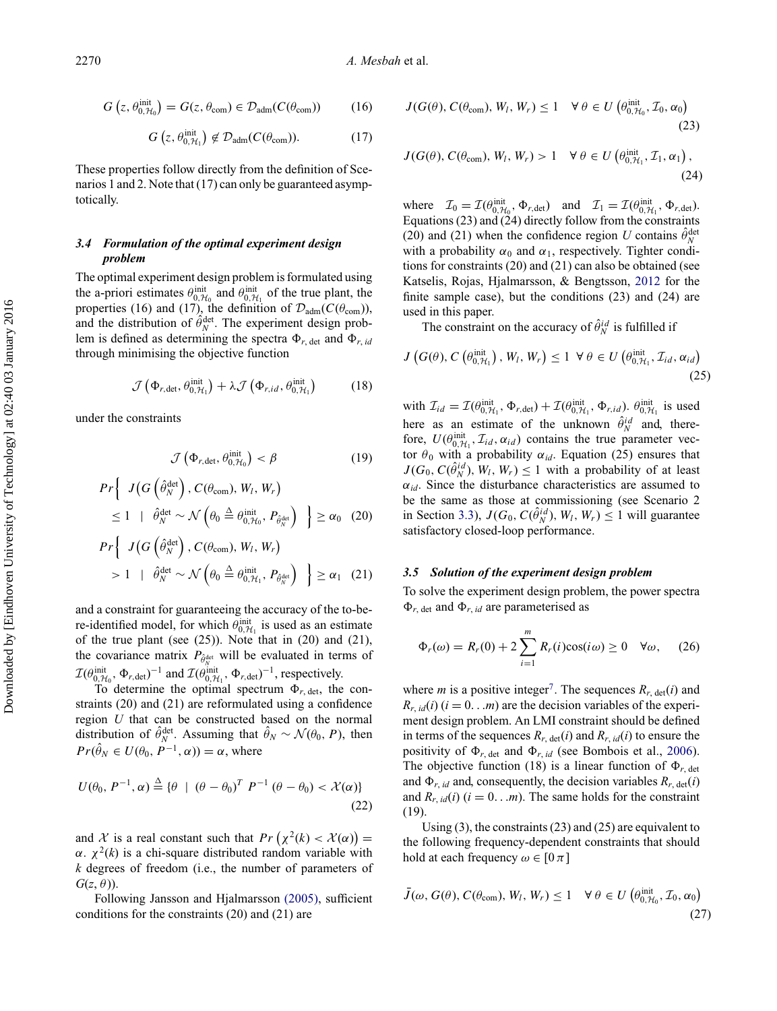$$
G(z, \theta_{0, \mathcal{H}_0}^{\text{init}}) = G(z, \theta_{\text{com}}) \in \mathcal{D}_{\text{adm}}(C(\theta_{\text{com}}))
$$
 (16)

$$
G\left(z, \theta_{0, \mathcal{H}_1}^{\text{init}}\right) \notin \mathcal{D}_{\text{adm}}(C(\theta_{\text{com}})).\tag{17}
$$

These properties follow directly from the definition of Scenarios 1 and 2. Note that (17) can only be guaranteed asymptotically.

# <span id="page-6-0"></span>*3.4 Formulation of the optimal experiment design problem*

The optimal experiment design problem is formulated using the a-priori estimates  $\theta_{0,\mathcal{H}_0}^{\text{init}}$  and  $\theta_{0,\mathcal{H}_1}^{\text{init}}$  of the true plant, the properties (16) and (17), the definition of  $\mathcal{D}_{\text{adm}}(C(\theta_{\text{com}}))$ , and the distribution of  $\hat{\theta}_N^{\text{det}}$ . The experiment design problem is defined as determining the spectra  $\Phi_{r, \text{det}}$  and  $\Phi_{r, id}$ through minimising the objective function

$$
\mathcal{J}\left(\Phi_{r,\det}, \theta_{0,\mathcal{H}_1}^{\text{init}}\right) + \lambda \mathcal{J}\left(\Phi_{r,id}, \theta_{0,\mathcal{H}_1}^{\text{init}}\right) \tag{18}
$$

under the constraints

$$
\mathcal{J}\left(\Phi_{r,\det},\theta_{0,\mathcal{H}_0}^{\text{init}}\right) < \beta \tag{19}
$$

$$
Pr\left\{\ J\left(G\left(\hat{\theta}_{N}^{\text{det}}\right), C(\theta_{\text{com}}), W_{l}, W_{r}\right)\right\}<1 \quad \text{if } \hat{\theta}_{N}^{\text{det}} \sim \mathcal{N}\left(\theta_{0} \triangleq \theta_{0, \mathcal{H}_{0}}^{\text{init}}, P_{\hat{\theta}_{N}^{\text{det}}}\right)\right\} \geq \alpha_{0} \quad (20)
$$

$$
Pr \left\{ J(G\left(\hat{\theta}_{N}^{\text{det}}\right), C(\theta_{\text{com}}), W_{l}, W_{r}) \right\}> 1 + \hat{\theta}_{N}^{\text{det}} \sim \mathcal{N}\left(\theta_{0} \triangleq \theta_{0, \mathcal{H}_{1}}^{\text{init}}, P_{\hat{\theta}_{N}^{\text{det}}}\right) \left.\right\} \geq \alpha_{1} \quad (21)
$$

and a constraint for guaranteeing the accuracy of the to-bere-identified model, for which  $\theta_{0,\mathcal{H}_1}^{\text{init}}$  is used as an estimate of the true plant (see (25)). Note that in (20) and (21), the covariance matrix  $P_{\hat{\theta}_{N}^{\text{det}}}$  will be evaluated in terms of  $\mathcal{I}(\theta_{0,\mathcal{H}_0}^{\text{init}}, \Phi_{r,\text{det}})^{-1}$  and  $\mathcal{I}(\theta_{0,\mathcal{H}_1}^{\text{init}}, \Phi_{r,\text{det}})^{-1}$ , respectively.

To determine the optimal spectrum  $\Phi_{r, det}$ , the constraints (20) and (21) are reformulated using a confidence region *U* that can be constructed based on the normal distribution of  $\hat{\theta}_N^{\text{det}}$ . Assuming that  $\hat{\theta}_N \sim \mathcal{N}(\theta_0, P)$ , then  $Pr(\hat{\theta}_N \in U(\theta_0, P^{-1}, \alpha)) = \alpha$ , where

$$
U(\theta_0, P^{-1}, \alpha) \stackrel{\Delta}{=} \{ \theta \mid (\theta - \theta_0)^T P^{-1} (\theta - \theta_0) < \mathcal{X}(\alpha) \}
$$
\n(22)

and X is a real constant such that  $Pr(\chi^2(k) < \mathcal{X}(\alpha)) =$ *α*.  $\chi^2(k)$  is a chi-square distributed random variable with *k* degrees of freedom (i.e., the number of parameters of  $G(z, \theta)$ ).

Following Jansson and Hjalmarsson [\(2005\),](#page-11-16) sufficient conditions for the constraints (20) and (21) are

$$
J(G(\theta), C(\theta_{\text{com}}), W_l, W_r) \le 1 \quad \forall \theta \in U\left(\theta_{0, \mathcal{H}_0}^{\text{init}}, \mathcal{I}_0, \alpha_0\right)
$$
\n(23)

$$
J(G(\theta), C(\theta_{com}), W_l, W_r) > 1 \quad \forall \theta \in U\left(\theta_{0, \mathcal{H}_1}^{\text{init}}, \mathcal{I}_1, \alpha_1\right),\tag{24}
$$

where  $\mathcal{I}_0 = \mathcal{I}(\theta_{0,\mathcal{H}_0}^{\text{init}}, \Phi_{r,\text{det}})$  and  $\mathcal{I}_1 = \mathcal{I}(\theta_{0,\mathcal{H}_1}^{\text{init}}, \Phi_{r,\text{det}})$ . Equations (23) and  $(24)$  directly follow from the constraints (20) and (21) when the confidence region *U* contains  $\hat{\theta}_N^{\text{det}}$ with a probability  $\alpha_0$  and  $\alpha_1$ , respectively. Tighter conditions for constraints (20) and (21) can also be obtained (see Katselis, Rojas, Hjalmarsson, & Bengtsson, [2012](#page-11-17) for the finite sample case), but the conditions (23) and (24) are used in this paper.

The constraint on the accuracy of  $\hat{\theta}_N^{id}$  is fulfilled if

$$
J\left(G(\theta), C\left(\theta_{0,\mathcal{H}_1}^{\text{init}}\right), W_l, W_r\right) \leq 1 \ \forall \ \theta \in U\left(\theta_{0,\mathcal{H}_1}^{\text{init}}, \mathcal{I}_{id}, \alpha_{id}\right) \tag{25}
$$

with  $\mathcal{I}_{id} = \mathcal{I}(\theta_{0,\mathcal{H}_1}^{\text{init}}, \Phi_{r,\text{det}}) + \mathcal{I}(\theta_{0,\mathcal{H}_1}^{\text{init}}, \Phi_{r,id})$ .  $\theta_{0,\mathcal{H}_1}^{\text{init}}$  is used here as an estimate of the unknown  $\hat{\theta}^{id}_N$  and, therefore,  $U(\theta_{0,\mathcal{H}_1}^{\text{init}}, \mathcal{I}_{id}, \alpha_{id})$  contains the true parameter vector  $\theta_0$  with a probability  $\alpha_{id}$ . Equation (25) ensures that  $J(G_0, C(\hat{\theta}_N^{id}), W_l, W_r) \leq 1$  with a probability of at least  $\alpha_{id}$ . Since the disturbance characteristics are assumed to be the same as those at commissioning (see Scenario 2 in Section [3.3\)](#page-5-0),  $J(G_0, C(\hat{\theta}_N^{id}), W_l, W_r) \le 1$  will guarantee satisfactory closed-loop performance.

## *3.5 Solution of the experiment design problem*

To solve the experiment design problem, the power spectra  $\Phi_{r, \text{det}}$  and  $\Phi_{r, id}$  are parameterised as

$$
\Phi_r(\omega) = R_r(0) + 2 \sum_{i=1}^m R_r(i) \cos(i\omega) \ge 0 \quad \forall \omega, \quad (26)
$$

where *m* is a positive integer<sup>7</sup>. The sequences  $R_{r, \text{det}}(i)$  and  $R_{r, id}(i)$  ( $i = 0...m$ ) are the decision variables of the experiment design problem. An LMI constraint should be defined in terms of the sequences  $R_{r, det}(i)$  and  $R_{r, id}(i)$  to ensure the positivity of  $\Phi_{r, det}$  and  $\Phi_{r, id}$  (see Bombois et al., [2006\)](#page-11-12). The objective function (18) is a linear function of  $\Phi_{r, det}$ and  $\Phi_{r, id}$  and, consequently, the decision variables  $R_{r, det}(i)$ and  $R_{r, id}(i)$  ( $i = 0...m$ ). The same holds for the constraint (19).

Using (3), the constraints (23) and (25) are equivalent to the following frequency-dependent constraints that should hold at each frequency  $\omega \in [0 \pi]$ 

$$
\bar{J}(\omega, G(\theta), C(\theta_{\text{com}}), W_l, W_r) \le 1 \quad \forall \theta \in U\left(\theta_{0, \mathcal{H}_0}^{\text{init}}, \mathcal{I}_0, \alpha_0\right)
$$
\n(27)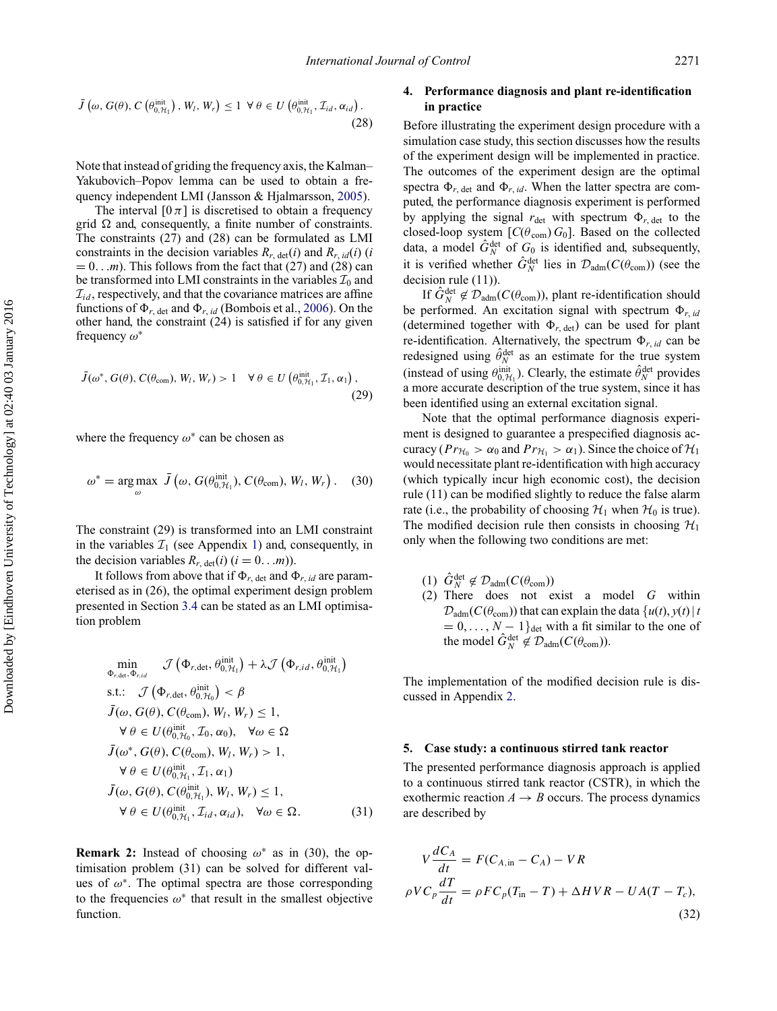$$
\bar{J}\left(\omega, G(\theta), C\left(\theta_{0,\mathcal{H}_1}^{\text{init}}\right), W_l, W_r\right) \leq 1 \ \forall \theta \in U\left(\theta_{0,\mathcal{H}_1}^{\text{init}}, \mathcal{I}_{id}, \alpha_{id}\right).
$$
\n(28)

Note that instead of griding the frequency axis, the Kalman– Yakubovich–Popov lemma can be used to obtain a frequency independent LMI (Jansson & Hjalmarsson, [2005\)](#page-11-16).

The interval  $[0 \pi]$  is discretised to obtain a frequency grid  $\Omega$  and, consequently, a finite number of constraints. The constraints (27) and (28) can be formulated as LMI constraints in the decision variables  $R_{r, det}(i)$  and  $R_{r, id}(i)$  (*i*  $= 0$ ...*m*). This follows from the fact that (27) and (28) can be transformed into LMI constraints in the variables  $\mathcal{I}_0$  and  $\mathcal{I}_{id}$ , respectively, and that the covariance matrices are affine functions of  $\Phi_{r, \text{det}}$  and  $\Phi_{r, id}$  (Bombois et al., [2006\)](#page-11-12). On the other hand, the constraint (24) is satisfied if for any given frequency *ω*<sup>∗</sup>

$$
\bar{J}(\omega^*, G(\theta), C(\theta_{\text{com}}), W_l, W_r) > 1 \quad \forall \theta \in U\left(\theta_{0, \mathcal{H}_1}^{\text{init}}, \mathcal{I}_1, \alpha_1\right),\tag{29}
$$

where the frequency  $\omega^*$  can be chosen as

$$
\omega^* = \underset{\omega}{\arg \max} \ \ \bar{J}\left(\omega, G(\theta_{0,\mathcal{H}_1}^{\text{init}}), C(\theta_{\text{com}}), W_l, W_r\right). \tag{30}
$$

The constraint (29) is transformed into an LMI constraint in the variables  $\mathcal{I}_1$  (see Appendix [1\)](#page-11-18) and, consequently, in the decision variables  $R_{r, \text{det}}(i)$  ( $i = 0...m$ )).

It follows from above that if  $\Phi_{r, det}$  and  $\Phi_{r, id}$  are parameterised as in (26), the optimal experiment design problem presented in Section [3.4](#page-6-0) can be stated as an LMI optimisation problem

$$
\min_{\Phi_{r,\det},\Phi_{r,id}} \mathcal{J}(\Phi_{r,\det},\theta_{0,\mathcal{H}_1}^{\text{init}}) + \lambda \mathcal{J}(\Phi_{r,id},\theta_{0,\mathcal{H}_1}^{\text{init}})
$$
\ns.t.:  $\mathcal{J}(\Phi_{r,\det},\theta_{0,\mathcal{H}_0}^{\text{init}}) < \beta$   
\n $\bar{J}(\omega, G(\theta), C(\theta_{\text{com}}), W_l, W_r) \le 1,$   
\n $\forall \theta \in U(\theta_{0,\mathcal{H}_0}^{\text{init}}, \mathcal{I}_0, \alpha_0), \quad \forall \omega \in \Omega$   
\n $\bar{J}(\omega^*, G(\theta), C(\theta_{\text{com}}), W_l, W_r) > 1,$   
\n $\forall \theta \in U(\theta_{0,\mathcal{H}_1}^{\text{init}}, \mathcal{I}_1, \alpha_1)$   
\n $\bar{J}(\omega, G(\theta), C(\theta_{0,\mathcal{H}_1}^{\text{init}}, W_l, W_r) \le 1,$   
\n $\forall \theta \in U(\theta_{0,\mathcal{H}_1}^{\text{init}}, \mathcal{I}_{id}, \alpha_{id}), \quad \forall \omega \in \Omega.$  (31)

**Remark 2:** Instead of choosing  $\omega^*$  as in (30), the optimisation problem (31) can be solved for different values of  $\omega^*$ . The optimal spectra are those corresponding to the frequencies  $\omega^*$  that result in the smallest objective function.

## <span id="page-7-0"></span>**4. Performance diagnosis and plant re-identification in practice**

Before illustrating the experiment design procedure with a simulation case study, this section discusses how the results of the experiment design will be implemented in practice. The outcomes of the experiment design are the optimal spectra  $\Phi_{r, \text{det}}$  and  $\Phi_{r, id}$ . When the latter spectra are computed, the performance diagnosis experiment is performed by applying the signal  $r_{\text{det}}$  with spectrum  $\Phi_{r,\text{det}}$  to the closed-loop system  $[C(\theta_{com}) G_0]$ . Based on the collected data, a model  $\hat{G}_N^{\text{det}}$  of  $G_0$  is identified and, subsequently, it is verified whether  $\hat{G}_N^{\text{det}}$  lies in  $\mathcal{D}_{\text{adm}}(C(\theta_{\text{com}}))$  (see the decision rule (11)).

If  $\hat{G}_N^{\text{det}} \notin \mathcal{D}_{\text{adm}}(C(\theta_{\text{com}}))$ , plant re-identification should be performed. An excitation signal with spectrum  $\Phi_{r, id}$ (determined together with  $\Phi_{r, det}$ ) can be used for plant re-identification. Alternatively, the spectrum  $\Phi_{r, id}$  can be redesigned using  $\hat{\theta}_N^{\text{det}}$  as an estimate for the true system (instead of using  $\theta_{0,\mathcal{H}_1}^{\text{init}}$ ). Clearly, the estimate  $\hat{\theta}_N^{\text{det}}$  provides a more accurate description of the true system, since it has been identified using an external excitation signal.

Note that the optimal performance diagnosis experiment is designed to guarantee a prespecified diagnosis accuracy ( $Pr_{\mathcal{H}_0} > \alpha_0$  and  $Pr_{\mathcal{H}_1} > \alpha_1$ ). Since the choice of  $\mathcal{H}_1$ would necessitate plant re-identification with high accuracy (which typically incur high economic cost), the decision rule (11) can be modified slightly to reduce the false alarm rate (i.e., the probability of choosing  $\mathcal{H}_1$  when  $\mathcal{H}_0$  is true). The modified decision rule then consists in choosing  $\mathcal{H}_1$ only when the following two conditions are met:

- $(1)$   $\hat{G}_N^{\text{det}} \notin \mathcal{D}_{\text{adm}}(C(\theta_{\text{com}}))$
- (2) There does not exist a model *G* within  $\mathcal{D}_{\text{adm}}(C(\theta_{\text{com}}))$  that can explain the data  $\{u(t), v(t) | t\}$  $= 0, \ldots, N - 1$ <sub>det</sub> with a fit similar to the one of the model  $\hat{G}_N^{\text{det}} \notin \mathcal{D}_{\text{adm}}(C(\theta_{\text{com}})).$

The implementation of the modified decision rule is discussed in Appendix [2.](#page-12-0)

#### **5. Case study: a continuous stirred tank reactor**

<span id="page-7-1"></span>The presented performance diagnosis approach is applied to a continuous stirred tank reactor (CSTR), in which the exothermic reaction  $A \rightarrow B$  occurs. The process dynamics are described by

$$
V\frac{dC_A}{dt} = F(C_{A,\text{in}} - C_A) - VR
$$
  
\n
$$
\rho VC_p \frac{dT}{dt} = \rho FC_p(T_{\text{in}} - T) + \Delta HVR - UA(T - T_c),
$$
\n(32)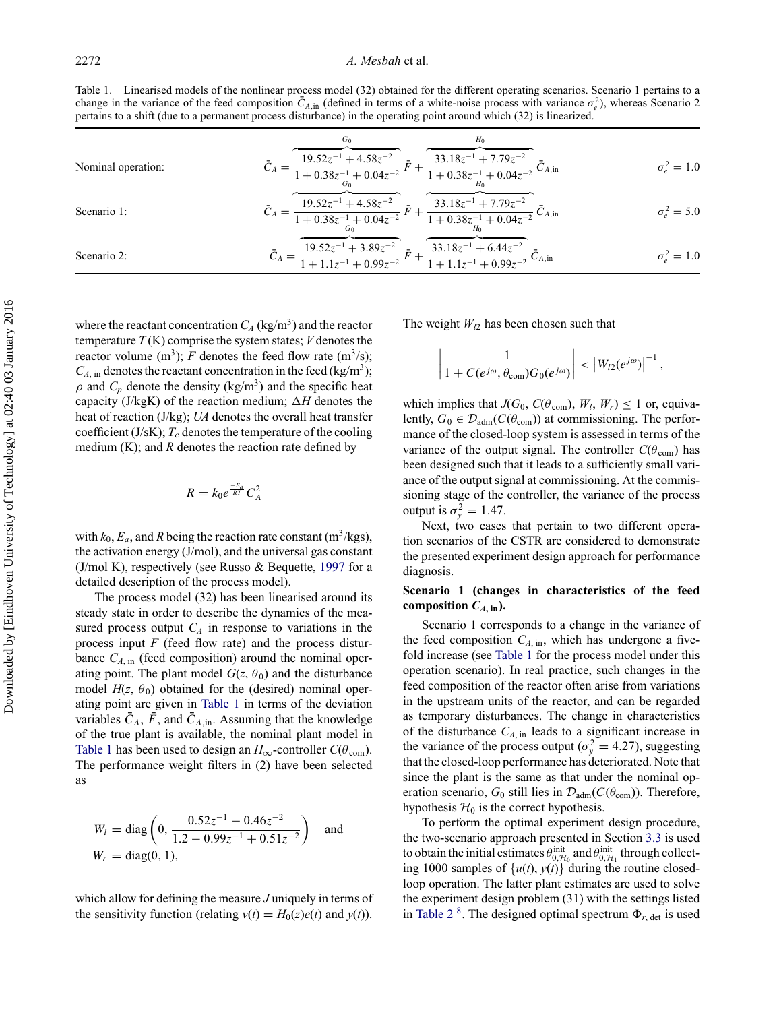<span id="page-8-0"></span>Table 1. Linearised models of the nonlinear process model (32) obtained for the different operating scenarios. Scenario 1 pertains to a change in the variance of the feed composition  $\bar{C}_{A,\text{in}}$  (defined in terms of a white-noise process with variance  $\sigma_e^2$ ), whereas Scenario 2 pertains to a shift (due to a permanent process disturbance) in the operating point around which (32) is linearized.

| Nominal operation: | $\mathcal{L}_A$ | G٥<br>$19.52z^{-1} + 4.58z^{-2}$ | Ħ۵<br>$33.18z^{-1} + 7.79z^{-2}$<br>$\cup$ A, in<br>$+0.38z^{-1}+0.04z^{-2}$ $+$ $\frac{1}{1+0.38z^{-1}+0.04z^{-2}}$ | $\sigma^2 = 1.0$ |
|--------------------|-----------------|----------------------------------|----------------------------------------------------------------------------------------------------------------------|------------------|
|                    |                 |                                  |                                                                                                                      |                  |

Scenario 1: 
$$
\bar{C}_A = \frac{19.52z^{-1} + 4.58z^{-2}}{1 + 0.38z^{-1} + 0.04z^{-2}} \bar{F} + \frac{33.18z^{-1} + 7.79z^{-2}}{1 + 0.38z^{-1} + 0.04z^{-2}} \bar{C}_{A,\text{in}} \qquad \sigma_e^2 = 5.0
$$

Scenario 2: 
$$
\bar{C}_A = \frac{19.52z^{-1} + 3.89z^{-2}}{1 + 1.1z^{-1} + 0.99z^{-2}} \bar{F} + \frac{33.18z^{-1} + 6.44z^{-2}}{1 + 1.1z^{-1} + 0.99z^{-2}} \bar{C}_{A,\text{in}} \qquad \sigma_e^2 = 1.0
$$

where the reactant concentration  $C_A$  (kg/m<sup>3</sup>) and the reactor temperature  $T(K)$  comprise the system states;  $V$  denotes the reactor volume  $(m^3)$ ; *F* denotes the feed flow rate  $(m^3/s)$ ;  $C_{A, \text{in}}$  denotes the reactant concentration in the feed (kg/m<sup>3</sup>);  $\rho$  and  $C_p$  denote the density (kg/m<sup>3</sup>) and the specific heat capacity (J/kgK) of the reaction medium;  *H* denotes the heat of reaction (J/kg); *UA* denotes the overall heat transfer coefficient ( $J/sK$ );  $T_c$  denotes the temperature of the cooling medium (K); and *R* denotes the reaction rate defined by

$$
R=k_0e^{\frac{-E_a}{RT}}C_A^2
$$

with  $k_0$ ,  $E_a$ , and *R* being the reaction rate constant (m<sup>3</sup>/kgs), the activation energy (J/mol), and the universal gas constant (J/mol K), respectively (see Russo & Bequette, [1997](#page-11-19) for a detailed description of the process model).

The process model (32) has been linearised around its steady state in order to describe the dynamics of the measured process output  $C_A$  in response to variations in the process input *F* (feed flow rate) and the process disturbance  $C_{A, in}$  (feed composition) around the nominal operating point. The plant model  $G(z, \theta_0)$  and the disturbance model  $H(z, \theta_0)$  obtained for the (desired) nominal operating point are given in [Table 1](#page-8-0) in terms of the deviation variables  $\bar{C}_A$ ,  $\bar{F}$ , and  $\bar{C}_{A,\text{in}}$ . Assuming that the knowledge of the true plant is available, the nominal plant model in [Table 1](#page-8-0) has been used to design an  $H_{\infty}$ -controller  $C(\theta_{com})$ . The performance weight filters in (2) have been selected as

$$
W_l = \text{diag}\left(0, \frac{0.52z^{-1} - 0.46z^{-2}}{1.2 - 0.99z^{-1} + 0.51z^{-2}}\right) \text{ and }
$$
  
 
$$
W_r = \text{diag}(0, 1),
$$

which allow for defining the measure *J* uniquely in terms of the sensitivity function (relating  $v(t) = H_0(z)e(t)$  and  $y(t)$ ).

The weight  $W_{12}$  has been chosen such that

$$
\left|\frac{1}{1+C(e^{j\omega},\theta_{\text{com}})G_0(e^{j\omega})}\right|< |W_{l2}(e^{j\omega})|^{-1}\,,
$$

which implies that  $J(G_0, C(\theta_{com}), W_l, W_r) \leq 1$  or, equivalently,  $G_0 \in \mathcal{D}_{\text{adm}}(C(\theta_{\text{com}}))$  at commissioning. The performance of the closed-loop system is assessed in terms of the variance of the output signal. The controller  $C(\theta_{\text{com}})$  has been designed such that it leads to a sufficiently small variance of the output signal at commissioning. At the commissioning stage of the controller, the variance of the process output is  $\sigma_y^2 = 1.47$ .

Next, two cases that pertain to two different operation scenarios of the CSTR are considered to demonstrate the presented experiment design approach for performance diagnosis.

# **Scenario 1 (changes in characteristics of the feed** composition  $C_{A,\text{in}}$ ).

Scenario 1 corresponds to a change in the variance of the feed composition  $C_{A, in}$ , which has undergone a fivefold increase (see [Table 1](#page-8-0) for the process model under this operation scenario). In real practice, such changes in the feed composition of the reactor often arise from variations in the upstream units of the reactor, and can be regarded as temporary disturbances. The change in characteristics of the disturbance  $C_{A, in}$  leads to a significant increase in the variance of the process output ( $\sigma_y^2 = 4.27$ ), suggesting that the closed-loop performance has deteriorated. Note that since the plant is the same as that under the nominal operation scenario,  $G_0$  still lies in  $\mathcal{D}_{\text{adm}}(C(\theta_{\text{com}}))$ . Therefore, hypothesis  $\mathcal{H}_0$  is the correct hypothesis.

To perform the optimal experiment design procedure, the two-scenario approach presented in Section [3.3](#page-5-0) is used to obtain the initial estimates  $\theta_{0,\mathcal{H}_0}^{\text{init}}$  and  $\theta_{0,\mathcal{H}_1}^{\text{init}}$  through collecting 1000 samples of  $\{u(t), y(t)\}\$  during the routine closedloop operation. The latter plant estimates are used to solve the experiment design problem (31) with the settings listed in [Table 2](#page-9-0)<sup>8</sup>. The designed optimal spectrum  $\Phi_{r, \text{det}}$  is used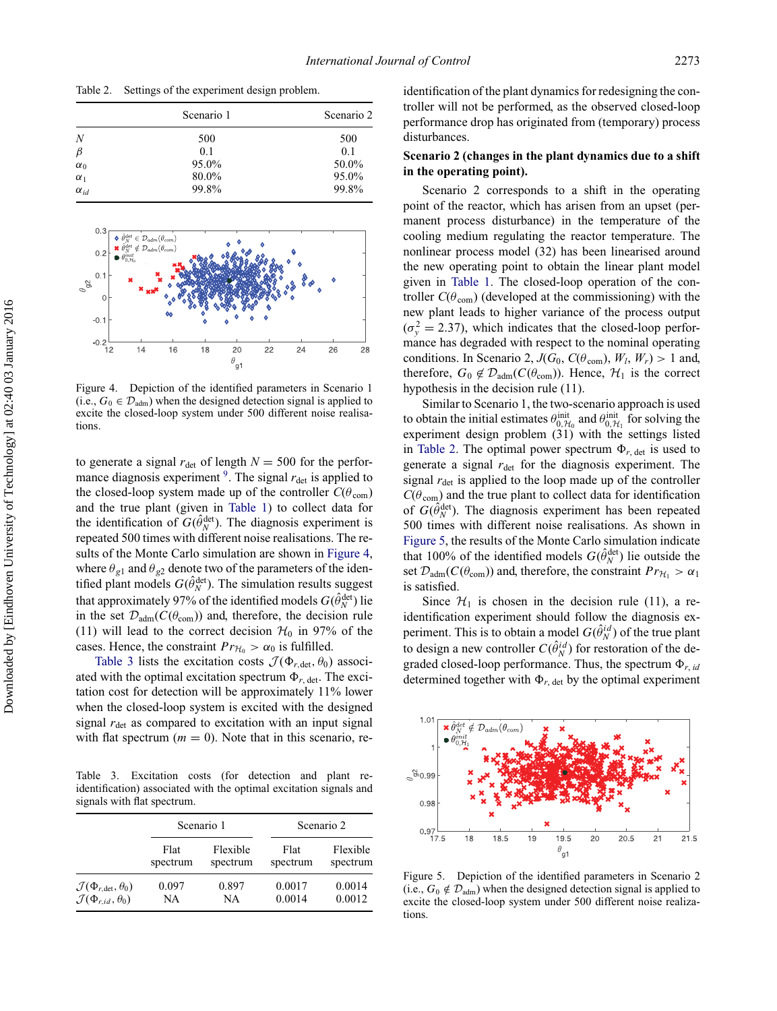<span id="page-9-0"></span>Table 2. Settings of the experiment design problem.

|               | Scenario 1 | Scenario 2 |  |
|---------------|------------|------------|--|
| N             | 500        | 500        |  |
| β             | 0.1        | 0.1        |  |
| $\alpha_0$    | 95.0%      | 50.0%      |  |
| $\alpha_1$    | 80.0%      | 95.0%      |  |
| $\alpha_{id}$ | 99.8%      | 99.8%      |  |

<span id="page-9-1"></span>

Figure 4. Depiction of the identified parameters in Scenario 1 (i.e.,  $G_0 \in \mathcal{D}_{\text{adm}}$ ) when the designed detection signal is applied to excite the closed-loop system under 500 different noise realisations.

to generate a signal  $r_{\text{det}}$  of length  $N = 500$  for the performance diagnosis experiment  $9$ . The signal  $r_{\text{det}}$  is applied to the closed-loop system made up of the controller  $C(\theta_{\text{com}})$ and the true plant (given in [Table 1\)](#page-8-0) to collect data for the identification of  $G(\hat{\theta}_N^{\text{det}})$ . The diagnosis experiment is repeated 500 times with different noise realisations. The results of the Monte Carlo simulation are shown in [Figure 4,](#page-9-1) where  $\theta_{g1}$  and  $\theta_{g2}$  denote two of the parameters of the identified plant models  $G(\hat{\theta}_N^{\text{det}})$ . The simulation results suggest that approximately 97% of the identified models  $G(\hat{\theta}^{\text{det}}_{N})$  lie in the set  $\mathcal{D}_{\text{adm}}(C(\theta_{\text{com}}))$  and, therefore, the decision rule (11) will lead to the correct decision  $H_0$  in 97% of the cases. Hence, the constraint  $Pr_{H_0} > \alpha_0$  is fulfilled.

[Table 3](#page-9-2) lists the excitation costs  $\mathcal{J}(\Phi_{r,\text{det}}, \theta_0)$  associated with the optimal excitation spectrum  $\Phi_{r,\text{det}}$ . The excitation cost for detection will be approximately 11% lower when the closed-loop system is excited with the designed signal  $r<sub>det</sub>$  as compared to excitation with an input signal with flat spectrum  $(m = 0)$ . Note that in this scenario, re-

<span id="page-9-2"></span>Table 3. Excitation costs (for detection and plant reidentification) associated with the optimal excitation signals and signals with flat spectrum.

|                                              |          | Scenario 1 | Scenario 2 |          |  |
|----------------------------------------------|----------|------------|------------|----------|--|
|                                              | Flat     | Flexible   | Flat       | Flexible |  |
|                                              | spectrum | spectrum   | spectrum   | spectrum |  |
| $\mathcal{J}(\Phi_{r,\text{det}}, \theta_0)$ | 0.097    | 0.897      | 0.0017     | 0.0014   |  |
| $\mathcal{J}(\Phi_{r, id}, \theta_0)$        | NA       | <b>NA</b>  | 0.0014     | 0.0012   |  |

identification of the plant dynamics for redesigning the controller will not be performed, as the observed closed-loop performance drop has originated from (temporary) process disturbances.

# **Scenario 2 (changes in the plant dynamics due to a shift in the operating point).**

Scenario 2 corresponds to a shift in the operating point of the reactor, which has arisen from an upset (permanent process disturbance) in the temperature of the cooling medium regulating the reactor temperature. The nonlinear process model (32) has been linearised around the new operating point to obtain the linear plant model given in [Table 1.](#page-8-0) The closed-loop operation of the controller  $C(\theta_{\text{com}})$  (developed at the commissioning) with the new plant leads to higher variance of the process output  $(\sigma_y^2 = 2.37)$ , which indicates that the closed-loop performance has degraded with respect to the nominal operating conditions. In Scenario 2,  $J(G_0, C(\theta_{com}), W_l, W_r) > 1$  and, therefore,  $G_0 \notin \mathcal{D}_{\text{adm}}(C(\theta_{\text{com}}))$ . Hence,  $\mathcal{H}_1$  is the correct hypothesis in the decision rule (11).

Similar to Scenario 1, the two-scenario approach is used to obtain the initial estimates  $\theta_{0,\mathcal{H}_0}^{\text{init}}$  and  $\theta_{0,\mathcal{H}_1}^{\text{init}}$  for solving the experiment design problem (31) with the settings listed in [Table 2.](#page-9-0) The optimal power spectrum  $\Phi_{r, det}$  is used to generate a signal  $r_{\text{det}}$  for the diagnosis experiment. The signal  $r_{\text{det}}$  is applied to the loop made up of the controller  $C(\theta_{\text{com}})$  and the true plant to collect data for identification of  $G(\hat{\theta}_N^{\text{det}})$ . The diagnosis experiment has been repeated 500 times with different noise realisations. As shown in [Figure 5,](#page-9-3) the results of the Monte Carlo simulation indicate that 100% of the identified models  $G(\hat{\theta}_N^{\text{det}})$  lie outside the set  $\mathcal{D}_{\text{adm}}(C(\theta_{\text{com}}))$  and, therefore, the constraint  $Pr_{\mathcal{H}_1} > \alpha_1$ is satisfied.

Since  $\mathcal{H}_1$  is chosen in the decision rule (11), a reidentification experiment should follow the diagnosis experiment. This is to obtain a model  $G(\hat{\theta}_{N}^{id})$  of the true plant to design a new controller  $C(\hat{\theta}_N^{id})$  for restoration of the degraded closed-loop performance. Thus, the spectrum  $\Phi_{r, id}$ determined together with  $\Phi_{r, det}$  by the optimal experiment

<span id="page-9-3"></span>

Figure 5. Depiction of the identified parameters in Scenario 2 (i.e.,  $G_0 \notin \mathcal{D}_{adm}$ ) when the designed detection signal is applied to excite the closed-loop system under 500 different noise realizations.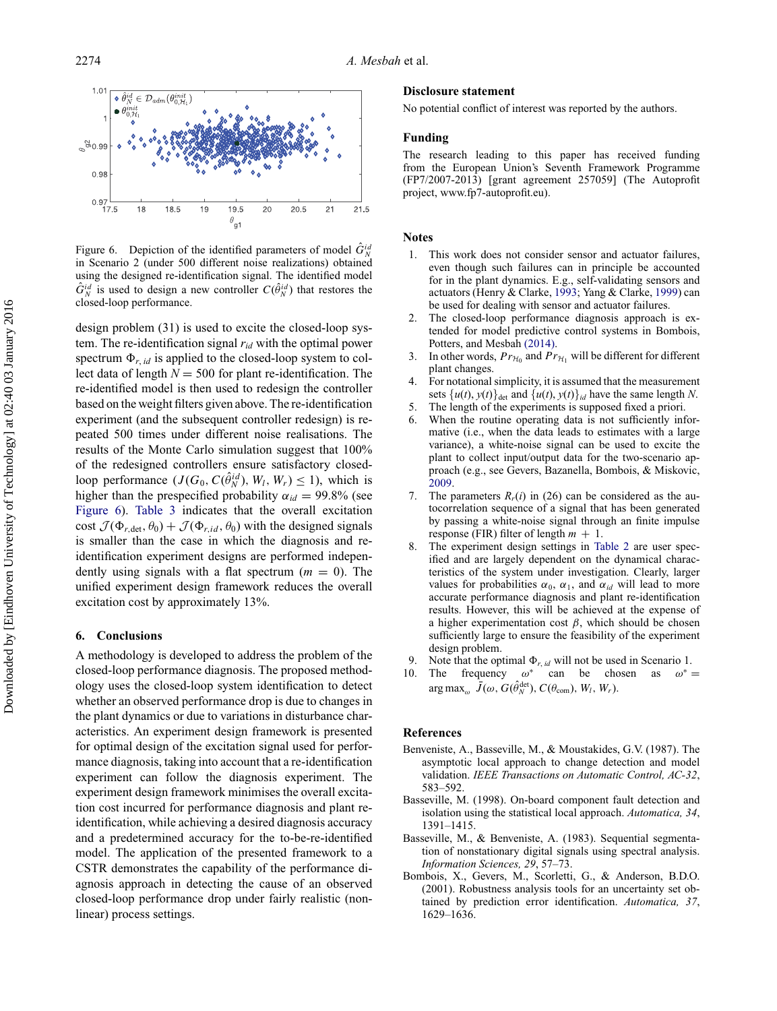<span id="page-10-12"></span>

Figure 6. Depiction of the identified parameters of model  $\hat{G}_{N}^{ia}$ in Scenario 2 (under 500 different noise realizations) obtained using the designed re-identification signal. The identified model  $\hat{G}_{N}^{id}$  is used to design a new controller  $C(\hat{\theta}_{N}^{id})$  that restores the closed-loop performance.

design problem (31) is used to excite the closed-loop system. The re-identification signal *rid* with the optimal power spectrum  $\Phi_{r, id}$  is applied to the closed-loop system to collect data of length  $N = 500$  for plant re-identification. The re-identified model is then used to redesign the controller based on the weight filters given above. The re-identification experiment (and the subsequent controller redesign) is repeated 500 times under different noise realisations. The results of the Monte Carlo simulation suggest that 100% of the redesigned controllers ensure satisfactory closedloop performance  $(J(G_0, C(\hat{\theta}_N^{id}), W_l, W_r) \le 1)$ , which is higher than the prespecified probability  $\alpha_{id} = 99.8\%$  (see [Figure 6\)](#page-10-12). [Table 3](#page-9-2) indicates that the overall excitation cost  $\mathcal{J}(\Phi_{r,\text{det}}, \theta_0) + \mathcal{J}(\Phi_{r,\text{id}}, \theta_0)$  with the designed signals is smaller than the case in which the diagnosis and reidentification experiment designs are performed independently using signals with a flat spectrum  $(m = 0)$ . The unified experiment design framework reduces the overall excitation cost by approximately 13%.

### **6. Conclusions**

A methodology is developed to address the problem of the closed-loop performance diagnosis. The proposed methodology uses the closed-loop system identification to detect whether an observed performance drop is due to changes in the plant dynamics or due to variations in disturbance characteristics. An experiment design framework is presented for optimal design of the excitation signal used for performance diagnosis, taking into account that a re-identification experiment can follow the diagnosis experiment. The experiment design framework minimises the overall excitation cost incurred for performance diagnosis and plant reidentification, while achieving a desired diagnosis accuracy and a predetermined accuracy for the to-be-re-identified model. The application of the presented framework to a CSTR demonstrates the capability of the performance diagnosis approach in detecting the cause of an observed closed-loop performance drop under fairly realistic (nonlinear) process settings.

## **Disclosure statement**

No potential conflict of interest was reported by the authors.

#### **Funding**

The research leading to this paper has received funding from the European Union's Seventh Framework Programme (FP7/2007-2013) [grant agreement 257059] (The Autoprofit project, www.fp7-autoprofit.eu).

## **Notes**

- <span id="page-10-2"></span>1. This work does not consider sensor and actuator failures, even though such failures can in principle be accounted for in the plant dynamics. E.g., self-validating sensors and actuators (Henry & Clarke, [1993;](#page-11-20) Yang & Clarke, [1999\)](#page-11-21) can be used for dealing with sensor and actuator failures.
- <span id="page-10-4"></span>2. The closed-loop performance diagnosis approach is extended for model predictive control systems in Bombois, Potters, and Mesbah [\(2014\).](#page-11-22)
- <span id="page-10-5"></span>3. In other words,  $Pr_{\mathcal{H}_0}$  and  $Pr_{\mathcal{H}_1}$  will be different for different plant changes.
- <span id="page-10-6"></span>4. For notational simplicity, it is assumed that the measurement sets  $\{u(t), y(t)\}\$ <sub>det</sub> and  $\{u(t), y(t)\}\$ id have the same length *N*.
- <span id="page-10-7"></span>5. The length of the experiments is supposed fixed a priori.
- <span id="page-10-8"></span>6. When the routine operating data is not sufficiently informative (i.e., when the data leads to estimates with a large variance), a white-noise signal can be used to excite the plant to collect input/output data for the two-scenario approach (e.g., see Gevers, Bazanella, Bombois, & Miskovic, [2009.](#page-11-23)
- <span id="page-10-9"></span>7. The parameters  $R_r(i)$  in (26) can be considered as the autocorrelation sequence of a signal that has been generated by passing a white-noise signal through an finite impulse response (FIR) filter of length  $m + 1$ .
- <span id="page-10-10"></span>The experiment design settings in [Table 2](#page-9-0) are user specified and are largely dependent on the dynamical characteristics of the system under investigation. Clearly, larger values for probabilities  $\alpha_0$ ,  $\alpha_1$ , and  $\alpha_{id}$  will lead to more accurate performance diagnosis and plant re-identification results. However, this will be achieved at the expense of a higher experimentation cost  $β$ , which should be chosen sufficiently large to ensure the feasibility of the experiment design problem.
- <span id="page-10-11"></span>9. Note that the optimal  $\Phi_{r, id}$  will not be used in Scenario 1.<br>10. The frequency  $\omega^*$  can be chosen as  $\omega^*$ :
- <span id="page-10-14"></span>can be chosen as  $\omega^* =$  $arg \max_{\omega} \ \bar{J}(\omega, G(\hat{\theta}_{N}^{\text{det}}), C(\theta_{\text{com}}), W_l, W_r).$

#### **References**

- <span id="page-10-1"></span>Benveniste, A., Basseville, M., & Moustakides, G.V. (1987). The asymptotic local approach to change detection and model validation. *IEEE Transactions on Automatic Control, AC-32*, 583–592.
- <span id="page-10-0"></span>Basseville, M. (1998). On-board component fault detection and isolation using the statistical local approach. *Automatica, 34*, 1391–1415.
- <span id="page-10-3"></span>Basseville, M., & Benveniste, A. (1983). Sequential segmentation of nonstationary digital signals using spectral analysis. *Information Sciences, 29*, 57–73.
- <span id="page-10-13"></span>Bombois, X., Gevers, M., Scorletti, G., & Anderson, B.D.O. (2001). Robustness analysis tools for an uncertainty set obtained by prediction error identification. *Automatica, 37*, 1629–1636.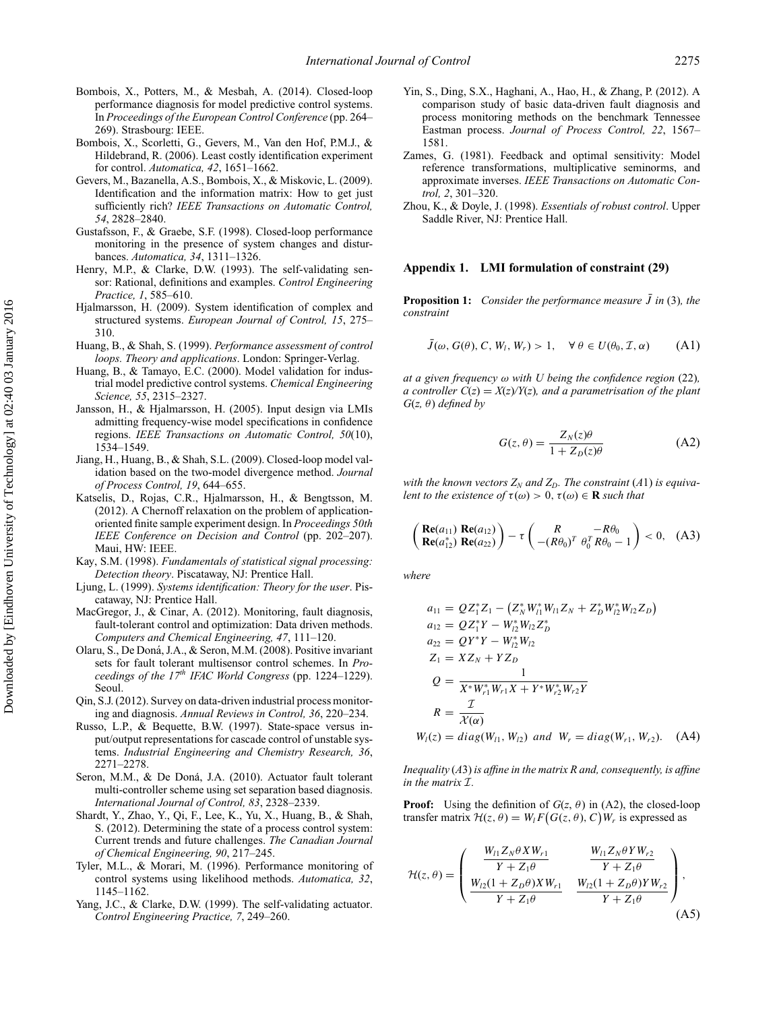- <span id="page-11-22"></span>Bombois, X., Potters, M., & Mesbah, A. (2014). Closed-loop performance diagnosis for model predictive control systems. In *Proceedings of the European Control Conference* (pp. 264– 269). Strasbourg: IEEE.
- <span id="page-11-12"></span>Bombois, X., Scorletti, G., Gevers, M., Van den Hof, P.M.J., & Hildebrand, R. (2006). Least costly identification experiment for control. *Automatica, 42*, 1651–1662.
- <span id="page-11-23"></span>Gevers, M., Bazanella, A.S., Bombois, X., & Miskovic, L. (2009). Identification and the information matrix: How to get just sufficiently rich? *IEEE Transactions on Automatic Control, 54*, 2828–2840.
- <span id="page-11-5"></span>Gustafsson, F., & Graebe, S.F. (1998). Closed-loop performance monitoring in the presence of system changes and disturbances. *Automatica, 34*, 1311–1326.
- <span id="page-11-20"></span>Henry, M.P., & Clarke, D.W. (1993). The self-validating sensor: Rational, definitions and examples. *Control Engineering Practice, 1*, 585–610.
- <span id="page-11-24"></span>Hjalmarsson, H. (2009). System identification of complex and structured systems. *European Journal of Control, 15*, 275– 310.
- <span id="page-11-4"></span>Huang, B., & Shah, S. (1999). *Performance assessment of control loops. Theory and applications*. London: Springer-Verlag.
- <span id="page-11-9"></span>Huang, B., & Tamayo, E.C. (2000). Model validation for industrial model predictive control systems. *Chemical Engineering Science, 55*, 2315–2327.
- <span id="page-11-16"></span>Jansson, H., & Hjalmarsson, H. (2005). Input design via LMIs admitting frequency-wise model specifications in confidence regions. *IEEE Transactions on Automatic Control, 50*(10), 1534–1549.
- <span id="page-11-10"></span>Jiang, H., Huang, B., & Shah, S.L. (2009). Closed-loop model validation based on the two-model divergence method. *Journal of Process Control, 19*, 644–655.
- <span id="page-11-17"></span>Katselis, D., Rojas, C.R., Hjalmarsson, H., & Bengtsson, M. (2012). A Chernoff relaxation on the problem of applicationoriented finite sample experiment design. In *Proceedings 50th IEEE Conference on Decision and Control* (pp. 202–207). Maui, HW: IEEE.
- <span id="page-11-6"></span>Kay, S.M. (1998). *Fundamentals of statistical signal processing: Detection theory*. Piscataway, NJ: Prentice Hall.
- <span id="page-11-13"></span>Ljung, L. (1999). *Systems identification: Theory for the user*. Piscataway, NJ: Prentice Hall.
- <span id="page-11-0"></span>MacGregor, J., & Cinar, A. (2012). Monitoring, fault diagnosis, fault-tolerant control and optimization: Data driven methods. *Computers and Chemical Engineering, 47*, 111–120.
- <span id="page-11-7"></span>Olaru, S., De Doná, J.A., & Seron, M.M. (2008). Positive invariant sets for fault tolerant multisensor control schemes. In *Proceedings of the 17th IFAC World Congress* (pp. 1224–1229). Seoul.
- <span id="page-11-1"></span>Qin, S.J. (2012). Survey on data-driven industrial process monitoring and diagnosis. *Annual Reviews in Control, 36*, 220–234.
- <span id="page-11-19"></span>Russo, L.P., & Bequette, B.W. (1997). State-space versus input/output representations for cascade control of unstable systems. *Industrial Engineering and Chemistry Research, 36*, 2271–2278.
- <span id="page-11-8"></span>Seron, M.M., & De Doná, J.A. (2010). Actuator fault tolerant multi-controller scheme using set separation based diagnosis. *International Journal of Control, 83*, 2328–2339.
- <span id="page-11-3"></span>Shardt, Y., Zhao, Y., Qi, F., Lee, K., Yu, X., Huang, B., & Shah, S. (2012). Determining the state of a process control system: Current trends and future challenges. *The Canadian Journal of Chemical Engineering, 90*, 217–245.
- <span id="page-11-11"></span>Tyler, M.L., & Morari, M. (1996). Performance monitoring of control systems using likelihood methods. *Automatica, 32*, 1145–1162.
- <span id="page-11-21"></span>Yang, J.C., & Clarke, D.W. (1999). The self-validating actuator. *Control Engineering Practice, 7*, 249–260.
- <span id="page-11-2"></span>Yin, S., Ding, S.X., Haghani, A., Hao, H., & Zhang, P. (2012). A comparison study of basic data-driven fault diagnosis and process monitoring methods on the benchmark Tennessee Eastman process. *Journal of Process Control, 22*, 1567– 1581.
- <span id="page-11-14"></span>Zames, G. (1981). Feedback and optimal sensitivity: Model reference transformations, multiplicative seminorms, and approximate inverses. *IEEE Transactions on Automatic Control, 2*, 301–320.
- <span id="page-11-15"></span>Zhou, K., & Doyle, J. (1998). *Essentials of robust control*. Upper Saddle River, NJ: Prentice Hall.

#### <span id="page-11-18"></span>**Appendix 1. LMI formulation of constraint (29)**

**Proposition 1:** *Consider the performance measure*  $\bar{J}$  *in* (3)*, the constraint*

$$
\bar{J}(\omega, G(\theta), C, W_l, W_r) > 1, \quad \forall \theta \in U(\theta_0, \mathcal{I}, \alpha) \tag{A1}
$$

*at a given frequency ω with U being the confidence region* (22)*, a controller*  $C(z) = X(z)/Y(z)$ *, and a parametrisation of the plant*  $G(z, \theta)$  *defined by* 

$$
G(z,\theta) = \frac{Z_N(z)\theta}{1 + Z_D(z)\theta}
$$
 (A2)

with the known vectors  $Z_N$  and  $Z_D$ . The constraint (A1) is equiva*lent to the existence of*  $\tau(\omega) > 0$ ,  $\tau(\omega) \in \mathbf{R}$  *such that* 

$$
\begin{pmatrix}\n\mathbf{Re}(a_{11}) & \mathbf{Re}(a_{12}) \\
\mathbf{Re}(a_{12}^*) & \mathbf{Re}(a_{22})\n\end{pmatrix} - \tau \begin{pmatrix}\nR & -R\theta_0 \\
-(R\theta_0)^T \theta_0^T R\theta_0 - 1\n\end{pmatrix} < 0, \quad (A3)
$$

*where*

$$
a_{11} = QZ_1^* Z_1 - (Z_N^* W_{l1}^* W_{l1} Z_N + Z_D^* W_{l2}^* W_{l2} Z_D)
$$
  
\n
$$
a_{12} = QZ_1^* Y - W_{l2}^* W_{l2} Z_D^*
$$
  
\n
$$
a_{22} = QY^* Y - W_{l2}^* W_{l2}
$$
  
\n
$$
Z_1 = XZ_N + YZ_D
$$
  
\n
$$
Q = \frac{1}{X^* W_{r1}^* W_{r1} X + Y^* W_{r2}^* W_{r2} Y}
$$
  
\n
$$
R = \frac{Z}{\mathcal{X}(\alpha)}
$$
  
\n
$$
W_l(z) = diag(W_{l1}, W_{l2}) \text{ and } W_r = diag(W_{r1}, W_{r2}).
$$
 (A4)

*Inequality* (*A*3) *is affine in the matrix R and, consequently, is affine in the matrix* I*.*

**Proof:** Using the definition of  $G(z, \theta)$  in (A2), the closed-loop transfer matrix  $\mathcal{H}(z, \theta) = W_l F(G(z, \theta), C) W_r$  is expressed as

$$
\mathcal{H}(z,\theta) = \begin{pmatrix} \frac{W_{11}Z_N \theta X W_{r1}}{Y + Z_1 \theta} & \frac{W_{11}Z_N \theta Y W_{r2}}{Y + Z_1 \theta} \\ \frac{W_{12}(1 + Z_D \theta) X W_{r1}}{Y + Z_1 \theta} & \frac{W_{12}(1 + Z_D \theta) Y W_{r2}}{Y + Z_1 \theta} \end{pmatrix},
$$
\n(A5)